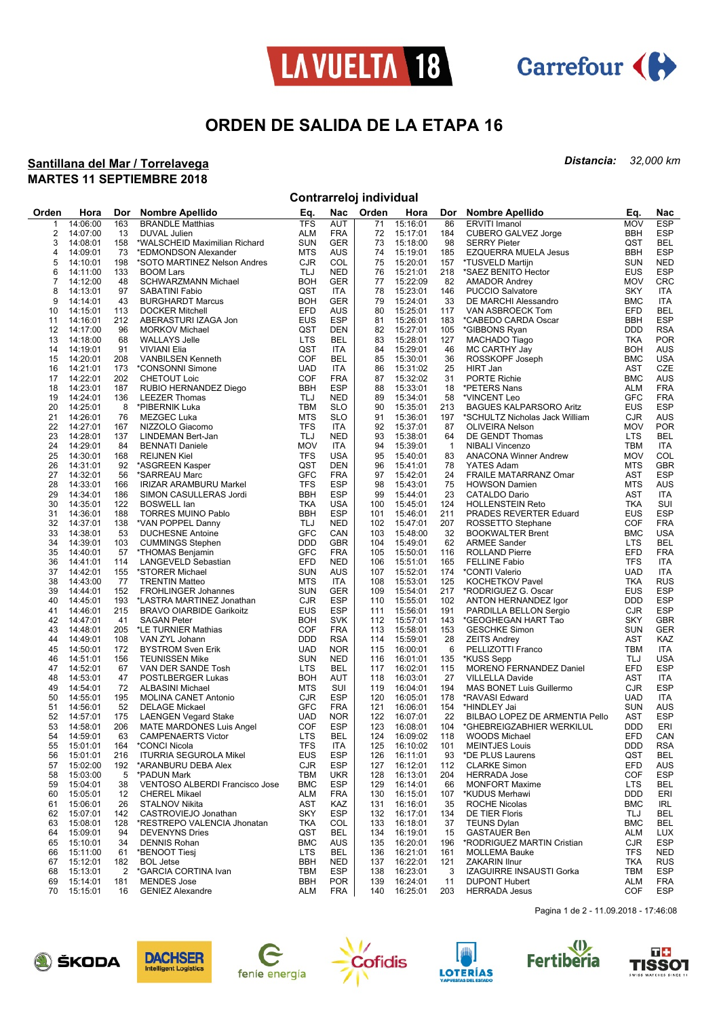



## **ORDEN DE SALIDA DE LA ETAPA 16**

#### **Santillana del Mar / Torrelavega MARTES 11 SEPTIEMBRE 2018**

*Distancia: 32,000 km*

### **Contrarreloj individual**

| <b>TFS</b><br><b>MOV</b><br><b>ESP</b><br>14:06:00<br>163<br><b>BRANDLE Matthias</b><br><b>AUT</b><br>71<br>15:16:01<br>86<br><b>ERVITI Imanol</b><br>1<br>$\overline{2}$<br><b>ALM</b><br><b>BBH</b><br><b>ESP</b><br>14:07:00<br>13<br>DUVAL Julien<br><b>FRA</b><br>72<br>15:17:01<br>184<br>CUBERO GALVEZ Jorge<br><b>GER</b><br>QST<br><b>BEL</b><br>3<br>14:08:01<br>158<br><b>SUN</b><br>73<br>98<br>*WALSCHEID Maximilian Richard<br>15:18:00<br><b>SERRY Pieter</b><br><b>MTS</b><br><b>BBH</b><br><b>ESP</b><br>AUS<br>74<br>15:19:01<br><b>EZQUERRA MUELA Jesus</b><br>4<br>14:09:01<br>73<br>*EDMONDSON Alexander<br>185<br><b>CJR</b><br>5<br>14:10:01<br>198<br>*SOTO MARTINEZ Nelson Andres<br>COL<br>75<br>15:20:01<br>157<br>*TUSVELD Martijn<br><b>SUN</b><br><b>NED</b><br>TLJ<br><b>NED</b><br><b>EUS</b><br><b>ESP</b><br>6<br>133<br>76<br>15:21:01<br>218<br>14:11:00<br><b>BOOM Lars</b><br>*SAEZ BENITO Hector<br><b>BOH</b><br><b>CRC</b><br>7<br>14:12:00<br>GER<br>77<br>15:22:09<br>82<br><b>AMADOR Andrey</b><br><b>MOV</b><br>48<br>SCHWARZMANN Michael<br>QST<br>15:23:01<br>8<br>14:13:01<br>97<br>SABATINI Fabio<br><b>ITA</b><br>78<br>146<br><b>PUCCIO Salvatore</b><br>SKY<br>ITA<br>9<br><b>BOH</b><br><b>GER</b><br>14:14:01<br>43<br>79<br>15:24:01<br>33<br><b>BMC</b><br><b>ITA</b><br><b>BURGHARDT Marcus</b><br>DE MARCHI Alessandro<br>EFD<br>EFD<br><b>BEL</b><br>14:15:01<br>AUS<br>80<br>15:25:01<br>10<br>113<br><b>DOCKER Mitchell</b><br>117<br>VAN ASBROECK Tom<br><b>EUS</b><br><b>ESP</b><br>15:26:01<br><b>ESP</b><br>11<br>14:16:01<br>212<br>ABERASTURI IZAGA Jon<br>81<br>183<br>*CABEDO CARDA Oscar<br>BBH<br>QST<br><b>DDD</b><br><b>RSA</b><br>12<br>96<br><b>DEN</b><br>82<br>15:27:01<br>105<br>14:17:00<br><b>MORKOV Michael</b><br>*GIBBONS Ryan<br><b>LTS</b><br><b>POR</b><br>14:18:00<br>BEL<br>83<br>15:28:01<br>127<br>MACHADO Tiago<br>TKA<br>13<br>68<br><b>WALLAYS Jelle</b><br>QST<br>15:29:01<br><b>AUS</b><br>14:19:01<br>91<br><b>VIVIANI Elia</b><br><b>ITA</b><br>84<br>46<br>MC CARTHY Jay<br><b>BOH</b><br>14<br><b>COF</b><br><b>USA</b><br>15<br>14:20:01<br>208<br><b>VANBILSEN Kenneth</b><br>BEL<br>85<br>15:30:01<br>36<br>ROSSKOPF Joseph<br><b>BMC</b><br>CZE<br>14:21:01<br>173<br>*CONSONNI Simone<br><b>UAD</b><br>ITA<br>86<br>15:31:02<br>25<br>HIRT Jan<br>AST<br>16<br>14:22:01<br><b>COF</b><br>17<br>202<br><b>CHETOUT Loic</b><br><b>FRA</b><br>87<br>15:32:02<br>31<br><b>PORTE Richie</b><br><b>BMC</b><br>AUS<br><b>ESP</b><br><b>FRA</b><br>18<br>14:23:01<br>187<br>RUBIO HERNANDEZ Diego<br><b>BBH</b><br>88<br>15:33:01<br>18<br>ALM<br>*PETERS Nans<br><b>NED</b><br><b>GFC</b><br>14:24:01<br>136<br>TLJ<br>89<br>15:34:01<br>58<br>*VINCENT Leo<br><b>FRA</b><br>19<br><b>LEEZER Thomas</b><br>14:25:01<br><b>EUS</b><br><b>ESP</b><br>20<br>8<br>*PIBERNIK Luka<br>TBM<br><b>SLO</b><br>90<br>15:35:01<br>213<br><b>BAGUES KALPARSORO Aritz</b><br><b>SLO</b><br><b>CJR</b><br><b>AUS</b><br>21<br>14:26:01<br>76<br><b>MTS</b><br>91<br>15:36:01<br>197<br>MEZGEC Luka<br>*SCHULTZ Nicholas Jack William<br><b>TFS</b><br><b>MOV</b><br>22<br>14:27:01<br><b>ITA</b><br>92<br>15:37:01<br>87<br><b>OLIVEIRA Nelson</b><br><b>POR</b><br>167<br>NIZZOLO Giacomo<br>14:28:01<br><b>LTS</b><br><b>BEL</b><br>23<br>137<br>TLJ<br><b>NED</b><br>93<br>15:38:01<br>64<br>DE GENDT Thomas<br>LINDEMAN Bert-Jan<br><b>MOV</b><br><b>TBM</b><br>24<br>14:29:01<br>84<br>ITA<br>94<br>15:39:01<br>ITA<br><b>BENNATI Daniele</b><br>$\overline{1}$<br><b>NIBALI Vincenzo</b><br><b>TFS</b><br><b>MOV</b><br>COL<br>25<br>14:30:01<br><b>USA</b><br>95<br>15:40:01<br>83<br>168<br><b>REIJNEN Kiel</b><br><b>ANACONA Winner Andrew</b><br>QST<br><b>GBR</b><br>26<br>14:31:01<br>92<br>*ASGREEN Kasper<br><b>DEN</b><br>96<br>15:41:01<br>78<br>YATES Adam<br><b>MTS</b><br><b>GFC</b><br><b>FRA</b><br><b>AST</b><br><b>ESP</b><br>27<br>14:32:01<br>56<br>97<br>15:42:01<br>24<br>FRAILE MATARRANZ Omar<br>*SARREAU Marc<br><b>TFS</b><br><b>ESP</b><br><b>MTS</b><br><b>AUS</b><br>28<br>14:33:01<br>98<br>15:43:01<br>75<br><b>HOWSON Damien</b><br>166<br><b>IRIZAR ARAMBURU Markel</b><br><b>BBH</b><br><b>ESP</b><br>AST<br>29<br>14:34:01<br>186<br>SIMON CASULLERAS Jordi<br>99<br>15:44:01<br>23<br>CATALDO Dario<br>ITA<br><b>TKA</b><br><b>TKA</b><br>SUI<br>30<br>14:35:01<br>122<br><b>BOSWELL lan</b><br><b>USA</b><br>100<br>15:45:01<br>124<br><b>HOLLENSTEIN Reto</b><br><b>BBH</b><br><b>ESP</b><br><b>EUS</b><br><b>ESP</b><br>31<br>14:36:01<br>188<br><b>TORRES MUINO Pablo</b><br>15:46:01<br>211<br>101<br>PRADES REVERTER Eduard<br><b>COF</b><br><b>FRA</b><br>32<br>14:37:01<br>138<br>*VAN POPPEL Danny<br>TLJ<br><b>NED</b><br>102<br>15:47:01<br>207<br>ROSSETTO Stephane<br><b>GFC</b><br><b>BMC</b><br><b>USA</b><br>33<br>14:38:01<br>53<br><b>DUCHESNE Antoine</b><br>CAN<br>103<br>15:48:00<br>32<br><b>BOOKWALTER Brent</b><br><b>BEL</b><br>34<br>14:39:01<br>103<br><b>CUMMINGS Stephen</b><br><b>DDD</b><br>GBR<br>104<br>15:49:01<br>62<br><b>ARMEE Sander</b><br>LTS<br><b>GFC</b><br><b>FRA</b><br>35<br>14:40:01<br>57<br>*THOMAS Benjamin<br><b>FRA</b><br>105<br>15:50:01<br>116<br><b>ROLLAND Pierre</b><br>EFD<br>EFD<br><b>TFS</b><br>36<br>14:41:01<br><b>NED</b><br>106<br>15:51:01<br>165<br><b>FELLINE Fabio</b><br>ITA<br>114<br>LANGEVELD Sebastian<br><b>SUN</b><br><b>UAD</b><br>37<br>14:42:01<br>*STORER Michael<br>AUS<br>107<br>15:52:01<br>*CONTI Valerio<br><b>ITA</b><br>155<br>174<br><b>RUS</b><br>38<br>14:43:00<br>77<br><b>TRENTIN Matteo</b><br><b>MTS</b><br>ITA<br>108<br>15:53:01<br>125<br><b>KOCHETKOV Pavel</b><br>TKA<br>39<br><b>GER</b><br><b>EUS</b><br><b>ESP</b><br>14:44:01<br>152<br><b>SUN</b><br>109<br>15:54:01<br>217<br>*RODRIGUEZ G. Oscar<br><b>FROHLINGER Johannes</b><br><b>ESP</b><br><b>DDD</b><br><b>ESP</b><br>40<br>14:45:01<br>193<br><b>CJR</b><br>110<br>15:55:01<br>102<br>ANTON HERNANDEZ Igor<br>*LASTRA MARTINEZ Jonathan<br><b>EUS</b><br><b>ESP</b><br><b>CJR</b><br><b>ESP</b><br>41<br>14:46:01<br>215<br>111<br>15:56:01<br>191<br>PARDILLA BELLON Sergio<br><b>BRAVO OIARBIDE Garikoitz</b><br><b>SKY</b><br><b>GBR</b><br>42<br>14:47:01<br>41<br><b>BOH</b><br><b>SVK</b><br>112<br>15:57:01<br>143<br><b>SAGAN Peter</b><br>*GEOGHEGAN HART Tao<br><b>COF</b><br>43<br>14:48:01<br>205<br>*LE TURNIER Mathias<br><b>FRA</b><br>113<br>15:58:01<br>153<br><b>GESCHKE Simon</b><br><b>SUN</b><br>GER<br><b>DDD</b><br>AST<br>14:49:01<br>108<br>VAN ZYL Johann<br><b>RSA</b><br>114<br>15:59:01<br>28<br>KAZ<br>44<br><b>ZEITS Andrey</b><br><b>TBM</b><br><b>ITA</b><br>45<br>14:50:01<br>172<br><b>UAD</b><br><b>NOR</b><br>115<br>16:00:01<br>6<br>PELLIZOTTI Franco<br><b>BYSTROM Sven Erik</b><br>46<br>14:51:01<br>156<br><b>TEUNISSEN Mike</b><br><b>SUN</b><br><b>NED</b><br>116<br>16:01:01<br>*KUSS Sepp<br>TLJ<br><b>USA</b><br>135<br>EFD<br><b>ESP</b><br>14:52:01<br>67<br>VAN DER SANDE Tosh<br><b>LTS</b><br>BEL<br>117<br>16:02:01<br>115<br>MORENO FERNANDEZ Daniel<br>47<br><b>AST</b><br>48<br>14:53:01<br>47<br><b>BOH</b><br><b>AUT</b><br>118<br>16:03:01<br>27<br>ITA<br>POSTLBERGER Lukas<br><b>VILLELLA Davide</b><br><b>CJR</b><br><b>ESP</b><br>49<br>14:54:01<br>72<br><b>ALBASINI Michael</b><br><b>MTS</b><br>SUI<br>119<br>16:04:01<br>194<br><b>MAS BONET Luis Guillermo</b><br><b>UAD</b><br>50<br>14:55:01<br>195<br><b>CJR</b><br><b>ESP</b><br>120<br>16:05:01<br>178<br>*RAVASI Edward<br><b>ITA</b><br><b>MOLINA CANET Antonio</b><br><b>GFC</b><br><b>SUN</b><br>51<br>52<br><b>FRA</b><br>121<br>16:06:01<br>154<br>AUS<br>14:56:01<br><b>DELAGE Mickael</b><br>*HINDLEY Jai<br><b>AST</b><br><b>ESP</b><br>52<br>14:57:01<br>175<br><b>LAENGEN Vegard Stake</b><br><b>UAD</b><br><b>NOR</b><br>122<br>16:07:01<br>22<br>BILBAO LOPEZ DE ARMENTIA Pello<br>COF<br><b>ESP</b><br><b>DDD</b><br>53<br>14:58:01<br>206<br>MATE MARDONES Luis Angel<br>123<br>16:08:01<br>104<br>*GHEBREIGZABHIER WERKILUL<br>ERI<br>EFD<br>54<br>63<br><b>CAMPENAERTS Victor</b><br><b>LTS</b><br>BEL<br>124<br>16:09:02<br>118<br>CAN<br>14:59:01<br><b>WOODS Michael</b><br><b>DDD</b><br>55 15:01:01<br>164 *CONCI Nicola<br><b>TFS</b><br>ITA<br>125 16:10:02<br>101<br><b>MEINTJES Louis</b><br><b>RSA</b><br>15:01:01<br><b>ITURRIA SEGUROLA Mikel</b><br><b>EUS</b><br><b>ESP</b><br>16:11:01<br>*DE PLUS Laurens<br>QST<br>216<br>126<br>BEL<br>56<br>93<br>EFD<br>15:02:00<br>192<br>CJR<br>ESP<br>127<br>16:12:01<br><b>CLARKE Simon</b><br>AUS<br>57<br>*ARANBURU DEBA Alex<br>112<br>COF<br>15:03:00<br>5<br>*PADUN Mark<br>TBM<br><b>UKR</b><br>128<br>16:13:01<br>204<br><b>HERRADA Jose</b><br>ESP<br>58<br>15:04:01<br>VENTOSO ALBERDI Francisco Jose<br><b>BMC</b><br><b>ESP</b><br>129<br>16:14:01<br><b>MONFORT Maxime</b><br><b>LTS</b><br>BEL<br>59<br>38<br>66<br>15:05:01<br>DDD<br>ERI<br>60<br>12<br><b>CHEREL Mikael</b><br>ALM<br><b>FRA</b><br>130<br>16:15:01<br>107<br>*KUDUS Merhawi<br>15:06:01<br>26<br><b>STALNOV Nikita</b><br>AST<br>KAZ<br>16:16:01<br>35<br><b>ROCHE Nicolas</b><br><b>BMC</b><br><b>IRL</b><br>61<br>131<br>62<br>15:07:01<br>142<br>CASTROVIEJO Jonathan<br>SKY<br><b>ESP</b><br>132<br>16:17:01<br>134<br><b>DE TIER Floris</b><br>TLJ<br>BEL<br>15:08:01<br>128<br>TKA<br><b>BMC</b><br>BEL<br>63<br>*RESTREPO VALENCIA Jhonatan<br>COL<br>133<br>16:18:01<br>37<br><b>TEUNS Dylan</b><br>15:09:01<br>94<br><b>DEVENYNS Dries</b><br>QST<br>BEL<br>134<br>16:19:01<br>15<br><b>GASTAUER Ben</b><br>ALM<br><b>LUX</b><br>64<br>16:20:01<br>15:10:01<br><b>DENNIS Rohan</b><br><b>BMC</b><br>AUS<br>135<br>196<br>*RODRIGUEZ MARTIN Cristian<br>CJR<br>ESP<br>34<br>65<br><b>TFS</b><br>LTS<br>BEL<br><b>NED</b><br>66<br>15:11:00<br>61<br>*BENOOT Tiesj<br>136<br>16:21:01<br>161<br><b>MOLLEMA Bauke</b><br>15:12:01<br><b>BOL Jetse</b><br>BBH<br><b>NED</b><br>16:22:01<br><b>ZAKARIN Ilnur</b><br>TKA<br><b>RUS</b><br>67<br>182<br>137<br>121<br>16:23:01<br>15:13:01<br>2<br>*GARCIA CORTINA Ivan<br>TBM<br><b>ESP</b><br>138<br>3<br><b>IZAGUIRRE INSAUSTI Gorka</b><br>TBM<br>ESP<br>68<br>181<br><b>MENDES</b> Jose<br><b>BBH</b><br><b>POR</b><br>11<br><b>DUPONT Hubert</b><br><b>FRA</b><br>69<br>15:14:01<br>139<br>16:24:01<br>ALM<br>COF<br>70<br>15:15:01<br><b>GENIEZ Alexandre</b><br><b>ALM</b><br><b>FRA</b><br>140<br>16:25:01<br>203<br><b>HERRADA Jesus</b><br>ESP<br>16 | Orden | Hora | Dor | <b>Nombre Apellido</b> | Eq. | Nac | Orden | Hora | Dor | <b>Nombre Apellido</b> | Eq. | Nac |
|----------------------------------------------------------------------------------------------------------------------------------------------------------------------------------------------------------------------------------------------------------------------------------------------------------------------------------------------------------------------------------------------------------------------------------------------------------------------------------------------------------------------------------------------------------------------------------------------------------------------------------------------------------------------------------------------------------------------------------------------------------------------------------------------------------------------------------------------------------------------------------------------------------------------------------------------------------------------------------------------------------------------------------------------------------------------------------------------------------------------------------------------------------------------------------------------------------------------------------------------------------------------------------------------------------------------------------------------------------------------------------------------------------------------------------------------------------------------------------------------------------------------------------------------------------------------------------------------------------------------------------------------------------------------------------------------------------------------------------------------------------------------------------------------------------------------------------------------------------------------------------------------------------------------------------------------------------------------------------------------------------------------------------------------------------------------------------------------------------------------------------------------------------------------------------------------------------------------------------------------------------------------------------------------------------------------------------------------------------------------------------------------------------------------------------------------------------------------------------------------------------------------------------------------------------------------------------------------------------------------------------------------------------------------------------------------------------------------------------------------------------------------------------------------------------------------------------------------------------------------------------------------------------------------------------------------------------------------------------------------------------------------------------------------------------------------------------------------------------------------------------------------------------------------------------------------------------------------------------------------------------------------------------------------------------------------------------------------------------------------------------------------------------------------------------------------------------------------------------------------------------------------------------------------------------------------------------------------------------------------------------------------------------------------------------------------------------------------------------------------------------------------------------------------------------------------------------------------------------------------------------------------------------------------------------------------------------------------------------------------------------------------------------------------------------------------------------------------------------------------------------------------------------------------------------------------------------------------------------------------------------------------------------------------------------------------------------------------------------------------------------------------------------------------------------------------------------------------------------------------------------------------------------------------------------------------------------------------------------------------------------------------------------------------------------------------------------------------------------------------------------------------------------------------------------------------------------------------------------------------------------------------------------------------------------------------------------------------------------------------------------------------------------------------------------------------------------------------------------------------------------------------------------------------------------------------------------------------------------------------------------------------------------------------------------------------------------------------------------------------------------------------------------------------------------------------------------------------------------------------------------------------------------------------------------------------------------------------------------------------------------------------------------------------------------------------------------------------------------------------------------------------------------------------------------------------------------------------------------------------------------------------------------------------------------------------------------------------------------------------------------------------------------------------------------------------------------------------------------------------------------------------------------------------------------------------------------------------------------------------------------------------------------------------------------------------------------------------------------------------------------------------------------------------------------------------------------------------------------------------------------------------------------------------------------------------------------------------------------------------------------------------------------------------------------------------------------------------------------------------------------------------------------------------------------------------------------------------------------------------------------------------------------------------------------------------------------------------------------------------------------------------------------------------------------------------------------------------------------------------------------------------------------------------------------------------------------------------------------------------------------------------------------------------------------------------------------------------------------------------------------------------------------------------------------------------------------------------------------------------------------------------------------------------------------------------------------------------------------------------------------------------------------------------------------------------------------------------------------------------------------------------------------------------------------------------------------------------------------------------------------------------------------------------------------------------------------------------------------------------------------------------------------------------------------------------------------------------------------------------------------------------------------------------------------------------------------------------------------------------------------------------------------------------------------------------------------------------------------------------------------------------------------------------------------------------------------------------------------------------------------------------------------------------------------------------------------------------------------------------------------------------------------------------------------------------------------------------------------------------------------------------------------------------------------------------------------------------------------------------------------------------------------------------------------------------------------------------------------------------------------------------------------------------------------------------------------------------------------------------------------------------------------------------------------------------------------------------------------------------------------------------------------------------------------------------------------------------------------------------------------------------------------------------------------------------------------------------------------------------------------------------------------------------------------------------------------------------------------------------------------------------------------------------------------------------------------------------------------------------------------------------------------------------------------------------------------------------------------------------------------------------------------------------------------------------------------------------------------------------------------------------------------------------------------------------------------------------------------------------------------------------------------------------------------------------------------------------------------------------------------------------------------------------------------------------------------------------------------------------------------------------------------------------------------------------------------------------------------------------------|-------|------|-----|------------------------|-----|-----|-------|------|-----|------------------------|-----|-----|
|                                                                                                                                                                                                                                                                                                                                                                                                                                                                                                                                                                                                                                                                                                                                                                                                                                                                                                                                                                                                                                                                                                                                                                                                                                                                                                                                                                                                                                                                                                                                                                                                                                                                                                                                                                                                                                                                                                                                                                                                                                                                                                                                                                                                                                                                                                                                                                                                                                                                                                                                                                                                                                                                                                                                                                                                                                                                                                                                                                                                                                                                                                                                                                                                                                                                                                                                                                                                                                                                                                                                                                                                                                                                                                                                                                                                                                                                                                                                                                                                                                                                                                                                                                                                                                                                                                                                                                                                                                                                                                                                                                                                                                                                                                                                                                                                                                                                                                                                                                                                                                                                                                                                                                                                                                                                                                                                                                                                                                                                                                                                                                                                                                                                                                                                                                                                                                                                                                                                                                                                                                                                                                                                                                                                                                                                                                                                                                                                                                                                                                                                                                                                                                                                                                                                                                                                                                                                                                                                                                                                                                                                                                                                                                                                                                                                                                                                                                                                                                                                                                                                                                                                                                                                                                                                                                                                                                                                                                                                                                                                                                                                                                                                                                                                                                                                                                                                                                                                                                                                                                                                                                                                                                                                                                                                                                                                                                                                                                                                                                                                                                                                                                                                                                                                                                                                                                                                                                                                                                                                                                                                                                                                                                                                                                                                                                                                                                                                                                                                                                                                                                                                                                                                                                                                                                                                                                                                                                                                                                                                                                    |       |      |     |                        |     |     |       |      |     |                        |     |     |
|                                                                                                                                                                                                                                                                                                                                                                                                                                                                                                                                                                                                                                                                                                                                                                                                                                                                                                                                                                                                                                                                                                                                                                                                                                                                                                                                                                                                                                                                                                                                                                                                                                                                                                                                                                                                                                                                                                                                                                                                                                                                                                                                                                                                                                                                                                                                                                                                                                                                                                                                                                                                                                                                                                                                                                                                                                                                                                                                                                                                                                                                                                                                                                                                                                                                                                                                                                                                                                                                                                                                                                                                                                                                                                                                                                                                                                                                                                                                                                                                                                                                                                                                                                                                                                                                                                                                                                                                                                                                                                                                                                                                                                                                                                                                                                                                                                                                                                                                                                                                                                                                                                                                                                                                                                                                                                                                                                                                                                                                                                                                                                                                                                                                                                                                                                                                                                                                                                                                                                                                                                                                                                                                                                                                                                                                                                                                                                                                                                                                                                                                                                                                                                                                                                                                                                                                                                                                                                                                                                                                                                                                                                                                                                                                                                                                                                                                                                                                                                                                                                                                                                                                                                                                                                                                                                                                                                                                                                                                                                                                                                                                                                                                                                                                                                                                                                                                                                                                                                                                                                                                                                                                                                                                                                                                                                                                                                                                                                                                                                                                                                                                                                                                                                                                                                                                                                                                                                                                                                                                                                                                                                                                                                                                                                                                                                                                                                                                                                                                                                                                                                                                                                                                                                                                                                                                                                                                                                                                                                                                                                    |       |      |     |                        |     |     |       |      |     |                        |     |     |
|                                                                                                                                                                                                                                                                                                                                                                                                                                                                                                                                                                                                                                                                                                                                                                                                                                                                                                                                                                                                                                                                                                                                                                                                                                                                                                                                                                                                                                                                                                                                                                                                                                                                                                                                                                                                                                                                                                                                                                                                                                                                                                                                                                                                                                                                                                                                                                                                                                                                                                                                                                                                                                                                                                                                                                                                                                                                                                                                                                                                                                                                                                                                                                                                                                                                                                                                                                                                                                                                                                                                                                                                                                                                                                                                                                                                                                                                                                                                                                                                                                                                                                                                                                                                                                                                                                                                                                                                                                                                                                                                                                                                                                                                                                                                                                                                                                                                                                                                                                                                                                                                                                                                                                                                                                                                                                                                                                                                                                                                                                                                                                                                                                                                                                                                                                                                                                                                                                                                                                                                                                                                                                                                                                                                                                                                                                                                                                                                                                                                                                                                                                                                                                                                                                                                                                                                                                                                                                                                                                                                                                                                                                                                                                                                                                                                                                                                                                                                                                                                                                                                                                                                                                                                                                                                                                                                                                                                                                                                                                                                                                                                                                                                                                                                                                                                                                                                                                                                                                                                                                                                                                                                                                                                                                                                                                                                                                                                                                                                                                                                                                                                                                                                                                                                                                                                                                                                                                                                                                                                                                                                                                                                                                                                                                                                                                                                                                                                                                                                                                                                                                                                                                                                                                                                                                                                                                                                                                                                                                                                                                    |       |      |     |                        |     |     |       |      |     |                        |     |     |
|                                                                                                                                                                                                                                                                                                                                                                                                                                                                                                                                                                                                                                                                                                                                                                                                                                                                                                                                                                                                                                                                                                                                                                                                                                                                                                                                                                                                                                                                                                                                                                                                                                                                                                                                                                                                                                                                                                                                                                                                                                                                                                                                                                                                                                                                                                                                                                                                                                                                                                                                                                                                                                                                                                                                                                                                                                                                                                                                                                                                                                                                                                                                                                                                                                                                                                                                                                                                                                                                                                                                                                                                                                                                                                                                                                                                                                                                                                                                                                                                                                                                                                                                                                                                                                                                                                                                                                                                                                                                                                                                                                                                                                                                                                                                                                                                                                                                                                                                                                                                                                                                                                                                                                                                                                                                                                                                                                                                                                                                                                                                                                                                                                                                                                                                                                                                                                                                                                                                                                                                                                                                                                                                                                                                                                                                                                                                                                                                                                                                                                                                                                                                                                                                                                                                                                                                                                                                                                                                                                                                                                                                                                                                                                                                                                                                                                                                                                                                                                                                                                                                                                                                                                                                                                                                                                                                                                                                                                                                                                                                                                                                                                                                                                                                                                                                                                                                                                                                                                                                                                                                                                                                                                                                                                                                                                                                                                                                                                                                                                                                                                                                                                                                                                                                                                                                                                                                                                                                                                                                                                                                                                                                                                                                                                                                                                                                                                                                                                                                                                                                                                                                                                                                                                                                                                                                                                                                                                                                                                                                                                    |       |      |     |                        |     |     |       |      |     |                        |     |     |
|                                                                                                                                                                                                                                                                                                                                                                                                                                                                                                                                                                                                                                                                                                                                                                                                                                                                                                                                                                                                                                                                                                                                                                                                                                                                                                                                                                                                                                                                                                                                                                                                                                                                                                                                                                                                                                                                                                                                                                                                                                                                                                                                                                                                                                                                                                                                                                                                                                                                                                                                                                                                                                                                                                                                                                                                                                                                                                                                                                                                                                                                                                                                                                                                                                                                                                                                                                                                                                                                                                                                                                                                                                                                                                                                                                                                                                                                                                                                                                                                                                                                                                                                                                                                                                                                                                                                                                                                                                                                                                                                                                                                                                                                                                                                                                                                                                                                                                                                                                                                                                                                                                                                                                                                                                                                                                                                                                                                                                                                                                                                                                                                                                                                                                                                                                                                                                                                                                                                                                                                                                                                                                                                                                                                                                                                                                                                                                                                                                                                                                                                                                                                                                                                                                                                                                                                                                                                                                                                                                                                                                                                                                                                                                                                                                                                                                                                                                                                                                                                                                                                                                                                                                                                                                                                                                                                                                                                                                                                                                                                                                                                                                                                                                                                                                                                                                                                                                                                                                                                                                                                                                                                                                                                                                                                                                                                                                                                                                                                                                                                                                                                                                                                                                                                                                                                                                                                                                                                                                                                                                                                                                                                                                                                                                                                                                                                                                                                                                                                                                                                                                                                                                                                                                                                                                                                                                                                                                                                                                                                                                    |       |      |     |                        |     |     |       |      |     |                        |     |     |
|                                                                                                                                                                                                                                                                                                                                                                                                                                                                                                                                                                                                                                                                                                                                                                                                                                                                                                                                                                                                                                                                                                                                                                                                                                                                                                                                                                                                                                                                                                                                                                                                                                                                                                                                                                                                                                                                                                                                                                                                                                                                                                                                                                                                                                                                                                                                                                                                                                                                                                                                                                                                                                                                                                                                                                                                                                                                                                                                                                                                                                                                                                                                                                                                                                                                                                                                                                                                                                                                                                                                                                                                                                                                                                                                                                                                                                                                                                                                                                                                                                                                                                                                                                                                                                                                                                                                                                                                                                                                                                                                                                                                                                                                                                                                                                                                                                                                                                                                                                                                                                                                                                                                                                                                                                                                                                                                                                                                                                                                                                                                                                                                                                                                                                                                                                                                                                                                                                                                                                                                                                                                                                                                                                                                                                                                                                                                                                                                                                                                                                                                                                                                                                                                                                                                                                                                                                                                                                                                                                                                                                                                                                                                                                                                                                                                                                                                                                                                                                                                                                                                                                                                                                                                                                                                                                                                                                                                                                                                                                                                                                                                                                                                                                                                                                                                                                                                                                                                                                                                                                                                                                                                                                                                                                                                                                                                                                                                                                                                                                                                                                                                                                                                                                                                                                                                                                                                                                                                                                                                                                                                                                                                                                                                                                                                                                                                                                                                                                                                                                                                                                                                                                                                                                                                                                                                                                                                                                                                                                                                                                    |       |      |     |                        |     |     |       |      |     |                        |     |     |
|                                                                                                                                                                                                                                                                                                                                                                                                                                                                                                                                                                                                                                                                                                                                                                                                                                                                                                                                                                                                                                                                                                                                                                                                                                                                                                                                                                                                                                                                                                                                                                                                                                                                                                                                                                                                                                                                                                                                                                                                                                                                                                                                                                                                                                                                                                                                                                                                                                                                                                                                                                                                                                                                                                                                                                                                                                                                                                                                                                                                                                                                                                                                                                                                                                                                                                                                                                                                                                                                                                                                                                                                                                                                                                                                                                                                                                                                                                                                                                                                                                                                                                                                                                                                                                                                                                                                                                                                                                                                                                                                                                                                                                                                                                                                                                                                                                                                                                                                                                                                                                                                                                                                                                                                                                                                                                                                                                                                                                                                                                                                                                                                                                                                                                                                                                                                                                                                                                                                                                                                                                                                                                                                                                                                                                                                                                                                                                                                                                                                                                                                                                                                                                                                                                                                                                                                                                                                                                                                                                                                                                                                                                                                                                                                                                                                                                                                                                                                                                                                                                                                                                                                                                                                                                                                                                                                                                                                                                                                                                                                                                                                                                                                                                                                                                                                                                                                                                                                                                                                                                                                                                                                                                                                                                                                                                                                                                                                                                                                                                                                                                                                                                                                                                                                                                                                                                                                                                                                                                                                                                                                                                                                                                                                                                                                                                                                                                                                                                                                                                                                                                                                                                                                                                                                                                                                                                                                                                                                                                                                                                    |       |      |     |                        |     |     |       |      |     |                        |     |     |
|                                                                                                                                                                                                                                                                                                                                                                                                                                                                                                                                                                                                                                                                                                                                                                                                                                                                                                                                                                                                                                                                                                                                                                                                                                                                                                                                                                                                                                                                                                                                                                                                                                                                                                                                                                                                                                                                                                                                                                                                                                                                                                                                                                                                                                                                                                                                                                                                                                                                                                                                                                                                                                                                                                                                                                                                                                                                                                                                                                                                                                                                                                                                                                                                                                                                                                                                                                                                                                                                                                                                                                                                                                                                                                                                                                                                                                                                                                                                                                                                                                                                                                                                                                                                                                                                                                                                                                                                                                                                                                                                                                                                                                                                                                                                                                                                                                                                                                                                                                                                                                                                                                                                                                                                                                                                                                                                                                                                                                                                                                                                                                                                                                                                                                                                                                                                                                                                                                                                                                                                                                                                                                                                                                                                                                                                                                                                                                                                                                                                                                                                                                                                                                                                                                                                                                                                                                                                                                                                                                                                                                                                                                                                                                                                                                                                                                                                                                                                                                                                                                                                                                                                                                                                                                                                                                                                                                                                                                                                                                                                                                                                                                                                                                                                                                                                                                                                                                                                                                                                                                                                                                                                                                                                                                                                                                                                                                                                                                                                                                                                                                                                                                                                                                                                                                                                                                                                                                                                                                                                                                                                                                                                                                                                                                                                                                                                                                                                                                                                                                                                                                                                                                                                                                                                                                                                                                                                                                                                                                                                                                    |       |      |     |                        |     |     |       |      |     |                        |     |     |
|                                                                                                                                                                                                                                                                                                                                                                                                                                                                                                                                                                                                                                                                                                                                                                                                                                                                                                                                                                                                                                                                                                                                                                                                                                                                                                                                                                                                                                                                                                                                                                                                                                                                                                                                                                                                                                                                                                                                                                                                                                                                                                                                                                                                                                                                                                                                                                                                                                                                                                                                                                                                                                                                                                                                                                                                                                                                                                                                                                                                                                                                                                                                                                                                                                                                                                                                                                                                                                                                                                                                                                                                                                                                                                                                                                                                                                                                                                                                                                                                                                                                                                                                                                                                                                                                                                                                                                                                                                                                                                                                                                                                                                                                                                                                                                                                                                                                                                                                                                                                                                                                                                                                                                                                                                                                                                                                                                                                                                                                                                                                                                                                                                                                                                                                                                                                                                                                                                                                                                                                                                                                                                                                                                                                                                                                                                                                                                                                                                                                                                                                                                                                                                                                                                                                                                                                                                                                                                                                                                                                                                                                                                                                                                                                                                                                                                                                                                                                                                                                                                                                                                                                                                                                                                                                                                                                                                                                                                                                                                                                                                                                                                                                                                                                                                                                                                                                                                                                                                                                                                                                                                                                                                                                                                                                                                                                                                                                                                                                                                                                                                                                                                                                                                                                                                                                                                                                                                                                                                                                                                                                                                                                                                                                                                                                                                                                                                                                                                                                                                                                                                                                                                                                                                                                                                                                                                                                                                                                                                                                                                    |       |      |     |                        |     |     |       |      |     |                        |     |     |
|                                                                                                                                                                                                                                                                                                                                                                                                                                                                                                                                                                                                                                                                                                                                                                                                                                                                                                                                                                                                                                                                                                                                                                                                                                                                                                                                                                                                                                                                                                                                                                                                                                                                                                                                                                                                                                                                                                                                                                                                                                                                                                                                                                                                                                                                                                                                                                                                                                                                                                                                                                                                                                                                                                                                                                                                                                                                                                                                                                                                                                                                                                                                                                                                                                                                                                                                                                                                                                                                                                                                                                                                                                                                                                                                                                                                                                                                                                                                                                                                                                                                                                                                                                                                                                                                                                                                                                                                                                                                                                                                                                                                                                                                                                                                                                                                                                                                                                                                                                                                                                                                                                                                                                                                                                                                                                                                                                                                                                                                                                                                                                                                                                                                                                                                                                                                                                                                                                                                                                                                                                                                                                                                                                                                                                                                                                                                                                                                                                                                                                                                                                                                                                                                                                                                                                                                                                                                                                                                                                                                                                                                                                                                                                                                                                                                                                                                                                                                                                                                                                                                                                                                                                                                                                                                                                                                                                                                                                                                                                                                                                                                                                                                                                                                                                                                                                                                                                                                                                                                                                                                                                                                                                                                                                                                                                                                                                                                                                                                                                                                                                                                                                                                                                                                                                                                                                                                                                                                                                                                                                                                                                                                                                                                                                                                                                                                                                                                                                                                                                                                                                                                                                                                                                                                                                                                                                                                                                                                                                                                                                    |       |      |     |                        |     |     |       |      |     |                        |     |     |
|                                                                                                                                                                                                                                                                                                                                                                                                                                                                                                                                                                                                                                                                                                                                                                                                                                                                                                                                                                                                                                                                                                                                                                                                                                                                                                                                                                                                                                                                                                                                                                                                                                                                                                                                                                                                                                                                                                                                                                                                                                                                                                                                                                                                                                                                                                                                                                                                                                                                                                                                                                                                                                                                                                                                                                                                                                                                                                                                                                                                                                                                                                                                                                                                                                                                                                                                                                                                                                                                                                                                                                                                                                                                                                                                                                                                                                                                                                                                                                                                                                                                                                                                                                                                                                                                                                                                                                                                                                                                                                                                                                                                                                                                                                                                                                                                                                                                                                                                                                                                                                                                                                                                                                                                                                                                                                                                                                                                                                                                                                                                                                                                                                                                                                                                                                                                                                                                                                                                                                                                                                                                                                                                                                                                                                                                                                                                                                                                                                                                                                                                                                                                                                                                                                                                                                                                                                                                                                                                                                                                                                                                                                                                                                                                                                                                                                                                                                                                                                                                                                                                                                                                                                                                                                                                                                                                                                                                                                                                                                                                                                                                                                                                                                                                                                                                                                                                                                                                                                                                                                                                                                                                                                                                                                                                                                                                                                                                                                                                                                                                                                                                                                                                                                                                                                                                                                                                                                                                                                                                                                                                                                                                                                                                                                                                                                                                                                                                                                                                                                                                                                                                                                                                                                                                                                                                                                                                                                                                                                                                                                    |       |      |     |                        |     |     |       |      |     |                        |     |     |
|                                                                                                                                                                                                                                                                                                                                                                                                                                                                                                                                                                                                                                                                                                                                                                                                                                                                                                                                                                                                                                                                                                                                                                                                                                                                                                                                                                                                                                                                                                                                                                                                                                                                                                                                                                                                                                                                                                                                                                                                                                                                                                                                                                                                                                                                                                                                                                                                                                                                                                                                                                                                                                                                                                                                                                                                                                                                                                                                                                                                                                                                                                                                                                                                                                                                                                                                                                                                                                                                                                                                                                                                                                                                                                                                                                                                                                                                                                                                                                                                                                                                                                                                                                                                                                                                                                                                                                                                                                                                                                                                                                                                                                                                                                                                                                                                                                                                                                                                                                                                                                                                                                                                                                                                                                                                                                                                                                                                                                                                                                                                                                                                                                                                                                                                                                                                                                                                                                                                                                                                                                                                                                                                                                                                                                                                                                                                                                                                                                                                                                                                                                                                                                                                                                                                                                                                                                                                                                                                                                                                                                                                                                                                                                                                                                                                                                                                                                                                                                                                                                                                                                                                                                                                                                                                                                                                                                                                                                                                                                                                                                                                                                                                                                                                                                                                                                                                                                                                                                                                                                                                                                                                                                                                                                                                                                                                                                                                                                                                                                                                                                                                                                                                                                                                                                                                                                                                                                                                                                                                                                                                                                                                                                                                                                                                                                                                                                                                                                                                                                                                                                                                                                                                                                                                                                                                                                                                                                                                                                                                                                    |       |      |     |                        |     |     |       |      |     |                        |     |     |
|                                                                                                                                                                                                                                                                                                                                                                                                                                                                                                                                                                                                                                                                                                                                                                                                                                                                                                                                                                                                                                                                                                                                                                                                                                                                                                                                                                                                                                                                                                                                                                                                                                                                                                                                                                                                                                                                                                                                                                                                                                                                                                                                                                                                                                                                                                                                                                                                                                                                                                                                                                                                                                                                                                                                                                                                                                                                                                                                                                                                                                                                                                                                                                                                                                                                                                                                                                                                                                                                                                                                                                                                                                                                                                                                                                                                                                                                                                                                                                                                                                                                                                                                                                                                                                                                                                                                                                                                                                                                                                                                                                                                                                                                                                                                                                                                                                                                                                                                                                                                                                                                                                                                                                                                                                                                                                                                                                                                                                                                                                                                                                                                                                                                                                                                                                                                                                                                                                                                                                                                                                                                                                                                                                                                                                                                                                                                                                                                                                                                                                                                                                                                                                                                                                                                                                                                                                                                                                                                                                                                                                                                                                                                                                                                                                                                                                                                                                                                                                                                                                                                                                                                                                                                                                                                                                                                                                                                                                                                                                                                                                                                                                                                                                                                                                                                                                                                                                                                                                                                                                                                                                                                                                                                                                                                                                                                                                                                                                                                                                                                                                                                                                                                                                                                                                                                                                                                                                                                                                                                                                                                                                                                                                                                                                                                                                                                                                                                                                                                                                                                                                                                                                                                                                                                                                                                                                                                                                                                                                                                                                    |       |      |     |                        |     |     |       |      |     |                        |     |     |
|                                                                                                                                                                                                                                                                                                                                                                                                                                                                                                                                                                                                                                                                                                                                                                                                                                                                                                                                                                                                                                                                                                                                                                                                                                                                                                                                                                                                                                                                                                                                                                                                                                                                                                                                                                                                                                                                                                                                                                                                                                                                                                                                                                                                                                                                                                                                                                                                                                                                                                                                                                                                                                                                                                                                                                                                                                                                                                                                                                                                                                                                                                                                                                                                                                                                                                                                                                                                                                                                                                                                                                                                                                                                                                                                                                                                                                                                                                                                                                                                                                                                                                                                                                                                                                                                                                                                                                                                                                                                                                                                                                                                                                                                                                                                                                                                                                                                                                                                                                                                                                                                                                                                                                                                                                                                                                                                                                                                                                                                                                                                                                                                                                                                                                                                                                                                                                                                                                                                                                                                                                                                                                                                                                                                                                                                                                                                                                                                                                                                                                                                                                                                                                                                                                                                                                                                                                                                                                                                                                                                                                                                                                                                                                                                                                                                                                                                                                                                                                                                                                                                                                                                                                                                                                                                                                                                                                                                                                                                                                                                                                                                                                                                                                                                                                                                                                                                                                                                                                                                                                                                                                                                                                                                                                                                                                                                                                                                                                                                                                                                                                                                                                                                                                                                                                                                                                                                                                                                                                                                                                                                                                                                                                                                                                                                                                                                                                                                                                                                                                                                                                                                                                                                                                                                                                                                                                                                                                                                                                                                                                    |       |      |     |                        |     |     |       |      |     |                        |     |     |
|                                                                                                                                                                                                                                                                                                                                                                                                                                                                                                                                                                                                                                                                                                                                                                                                                                                                                                                                                                                                                                                                                                                                                                                                                                                                                                                                                                                                                                                                                                                                                                                                                                                                                                                                                                                                                                                                                                                                                                                                                                                                                                                                                                                                                                                                                                                                                                                                                                                                                                                                                                                                                                                                                                                                                                                                                                                                                                                                                                                                                                                                                                                                                                                                                                                                                                                                                                                                                                                                                                                                                                                                                                                                                                                                                                                                                                                                                                                                                                                                                                                                                                                                                                                                                                                                                                                                                                                                                                                                                                                                                                                                                                                                                                                                                                                                                                                                                                                                                                                                                                                                                                                                                                                                                                                                                                                                                                                                                                                                                                                                                                                                                                                                                                                                                                                                                                                                                                                                                                                                                                                                                                                                                                                                                                                                                                                                                                                                                                                                                                                                                                                                                                                                                                                                                                                                                                                                                                                                                                                                                                                                                                                                                                                                                                                                                                                                                                                                                                                                                                                                                                                                                                                                                                                                                                                                                                                                                                                                                                                                                                                                                                                                                                                                                                                                                                                                                                                                                                                                                                                                                                                                                                                                                                                                                                                                                                                                                                                                                                                                                                                                                                                                                                                                                                                                                                                                                                                                                                                                                                                                                                                                                                                                                                                                                                                                                                                                                                                                                                                                                                                                                                                                                                                                                                                                                                                                                                                                                                                                                                    |       |      |     |                        |     |     |       |      |     |                        |     |     |
|                                                                                                                                                                                                                                                                                                                                                                                                                                                                                                                                                                                                                                                                                                                                                                                                                                                                                                                                                                                                                                                                                                                                                                                                                                                                                                                                                                                                                                                                                                                                                                                                                                                                                                                                                                                                                                                                                                                                                                                                                                                                                                                                                                                                                                                                                                                                                                                                                                                                                                                                                                                                                                                                                                                                                                                                                                                                                                                                                                                                                                                                                                                                                                                                                                                                                                                                                                                                                                                                                                                                                                                                                                                                                                                                                                                                                                                                                                                                                                                                                                                                                                                                                                                                                                                                                                                                                                                                                                                                                                                                                                                                                                                                                                                                                                                                                                                                                                                                                                                                                                                                                                                                                                                                                                                                                                                                                                                                                                                                                                                                                                                                                                                                                                                                                                                                                                                                                                                                                                                                                                                                                                                                                                                                                                                                                                                                                                                                                                                                                                                                                                                                                                                                                                                                                                                                                                                                                                                                                                                                                                                                                                                                                                                                                                                                                                                                                                                                                                                                                                                                                                                                                                                                                                                                                                                                                                                                                                                                                                                                                                                                                                                                                                                                                                                                                                                                                                                                                                                                                                                                                                                                                                                                                                                                                                                                                                                                                                                                                                                                                                                                                                                                                                                                                                                                                                                                                                                                                                                                                                                                                                                                                                                                                                                                                                                                                                                                                                                                                                                                                                                                                                                                                                                                                                                                                                                                                                                                                                                                                                    |       |      |     |                        |     |     |       |      |     |                        |     |     |
|                                                                                                                                                                                                                                                                                                                                                                                                                                                                                                                                                                                                                                                                                                                                                                                                                                                                                                                                                                                                                                                                                                                                                                                                                                                                                                                                                                                                                                                                                                                                                                                                                                                                                                                                                                                                                                                                                                                                                                                                                                                                                                                                                                                                                                                                                                                                                                                                                                                                                                                                                                                                                                                                                                                                                                                                                                                                                                                                                                                                                                                                                                                                                                                                                                                                                                                                                                                                                                                                                                                                                                                                                                                                                                                                                                                                                                                                                                                                                                                                                                                                                                                                                                                                                                                                                                                                                                                                                                                                                                                                                                                                                                                                                                                                                                                                                                                                                                                                                                                                                                                                                                                                                                                                                                                                                                                                                                                                                                                                                                                                                                                                                                                                                                                                                                                                                                                                                                                                                                                                                                                                                                                                                                                                                                                                                                                                                                                                                                                                                                                                                                                                                                                                                                                                                                                                                                                                                                                                                                                                                                                                                                                                                                                                                                                                                                                                                                                                                                                                                                                                                                                                                                                                                                                                                                                                                                                                                                                                                                                                                                                                                                                                                                                                                                                                                                                                                                                                                                                                                                                                                                                                                                                                                                                                                                                                                                                                                                                                                                                                                                                                                                                                                                                                                                                                                                                                                                                                                                                                                                                                                                                                                                                                                                                                                                                                                                                                                                                                                                                                                                                                                                                                                                                                                                                                                                                                                                                                                                                                                                    |       |      |     |                        |     |     |       |      |     |                        |     |     |
|                                                                                                                                                                                                                                                                                                                                                                                                                                                                                                                                                                                                                                                                                                                                                                                                                                                                                                                                                                                                                                                                                                                                                                                                                                                                                                                                                                                                                                                                                                                                                                                                                                                                                                                                                                                                                                                                                                                                                                                                                                                                                                                                                                                                                                                                                                                                                                                                                                                                                                                                                                                                                                                                                                                                                                                                                                                                                                                                                                                                                                                                                                                                                                                                                                                                                                                                                                                                                                                                                                                                                                                                                                                                                                                                                                                                                                                                                                                                                                                                                                                                                                                                                                                                                                                                                                                                                                                                                                                                                                                                                                                                                                                                                                                                                                                                                                                                                                                                                                                                                                                                                                                                                                                                                                                                                                                                                                                                                                                                                                                                                                                                                                                                                                                                                                                                                                                                                                                                                                                                                                                                                                                                                                                                                                                                                                                                                                                                                                                                                                                                                                                                                                                                                                                                                                                                                                                                                                                                                                                                                                                                                                                                                                                                                                                                                                                                                                                                                                                                                                                                                                                                                                                                                                                                                                                                                                                                                                                                                                                                                                                                                                                                                                                                                                                                                                                                                                                                                                                                                                                                                                                                                                                                                                                                                                                                                                                                                                                                                                                                                                                                                                                                                                                                                                                                                                                                                                                                                                                                                                                                                                                                                                                                                                                                                                                                                                                                                                                                                                                                                                                                                                                                                                                                                                                                                                                                                                                                                                                                                                    |       |      |     |                        |     |     |       |      |     |                        |     |     |
|                                                                                                                                                                                                                                                                                                                                                                                                                                                                                                                                                                                                                                                                                                                                                                                                                                                                                                                                                                                                                                                                                                                                                                                                                                                                                                                                                                                                                                                                                                                                                                                                                                                                                                                                                                                                                                                                                                                                                                                                                                                                                                                                                                                                                                                                                                                                                                                                                                                                                                                                                                                                                                                                                                                                                                                                                                                                                                                                                                                                                                                                                                                                                                                                                                                                                                                                                                                                                                                                                                                                                                                                                                                                                                                                                                                                                                                                                                                                                                                                                                                                                                                                                                                                                                                                                                                                                                                                                                                                                                                                                                                                                                                                                                                                                                                                                                                                                                                                                                                                                                                                                                                                                                                                                                                                                                                                                                                                                                                                                                                                                                                                                                                                                                                                                                                                                                                                                                                                                                                                                                                                                                                                                                                                                                                                                                                                                                                                                                                                                                                                                                                                                                                                                                                                                                                                                                                                                                                                                                                                                                                                                                                                                                                                                                                                                                                                                                                                                                                                                                                                                                                                                                                                                                                                                                                                                                                                                                                                                                                                                                                                                                                                                                                                                                                                                                                                                                                                                                                                                                                                                                                                                                                                                                                                                                                                                                                                                                                                                                                                                                                                                                                                                                                                                                                                                                                                                                                                                                                                                                                                                                                                                                                                                                                                                                                                                                                                                                                                                                                                                                                                                                                                                                                                                                                                                                                                                                                                                                                                                                    |       |      |     |                        |     |     |       |      |     |                        |     |     |
|                                                                                                                                                                                                                                                                                                                                                                                                                                                                                                                                                                                                                                                                                                                                                                                                                                                                                                                                                                                                                                                                                                                                                                                                                                                                                                                                                                                                                                                                                                                                                                                                                                                                                                                                                                                                                                                                                                                                                                                                                                                                                                                                                                                                                                                                                                                                                                                                                                                                                                                                                                                                                                                                                                                                                                                                                                                                                                                                                                                                                                                                                                                                                                                                                                                                                                                                                                                                                                                                                                                                                                                                                                                                                                                                                                                                                                                                                                                                                                                                                                                                                                                                                                                                                                                                                                                                                                                                                                                                                                                                                                                                                                                                                                                                                                                                                                                                                                                                                                                                                                                                                                                                                                                                                                                                                                                                                                                                                                                                                                                                                                                                                                                                                                                                                                                                                                                                                                                                                                                                                                                                                                                                                                                                                                                                                                                                                                                                                                                                                                                                                                                                                                                                                                                                                                                                                                                                                                                                                                                                                                                                                                                                                                                                                                                                                                                                                                                                                                                                                                                                                                                                                                                                                                                                                                                                                                                                                                                                                                                                                                                                                                                                                                                                                                                                                                                                                                                                                                                                                                                                                                                                                                                                                                                                                                                                                                                                                                                                                                                                                                                                                                                                                                                                                                                                                                                                                                                                                                                                                                                                                                                                                                                                                                                                                                                                                                                                                                                                                                                                                                                                                                                                                                                                                                                                                                                                                                                                                                                                                                    |       |      |     |                        |     |     |       |      |     |                        |     |     |
|                                                                                                                                                                                                                                                                                                                                                                                                                                                                                                                                                                                                                                                                                                                                                                                                                                                                                                                                                                                                                                                                                                                                                                                                                                                                                                                                                                                                                                                                                                                                                                                                                                                                                                                                                                                                                                                                                                                                                                                                                                                                                                                                                                                                                                                                                                                                                                                                                                                                                                                                                                                                                                                                                                                                                                                                                                                                                                                                                                                                                                                                                                                                                                                                                                                                                                                                                                                                                                                                                                                                                                                                                                                                                                                                                                                                                                                                                                                                                                                                                                                                                                                                                                                                                                                                                                                                                                                                                                                                                                                                                                                                                                                                                                                                                                                                                                                                                                                                                                                                                                                                                                                                                                                                                                                                                                                                                                                                                                                                                                                                                                                                                                                                                                                                                                                                                                                                                                                                                                                                                                                                                                                                                                                                                                                                                                                                                                                                                                                                                                                                                                                                                                                                                                                                                                                                                                                                                                                                                                                                                                                                                                                                                                                                                                                                                                                                                                                                                                                                                                                                                                                                                                                                                                                                                                                                                                                                                                                                                                                                                                                                                                                                                                                                                                                                                                                                                                                                                                                                                                                                                                                                                                                                                                                                                                                                                                                                                                                                                                                                                                                                                                                                                                                                                                                                                                                                                                                                                                                                                                                                                                                                                                                                                                                                                                                                                                                                                                                                                                                                                                                                                                                                                                                                                                                                                                                                                                                                                                                                                                    |       |      |     |                        |     |     |       |      |     |                        |     |     |
|                                                                                                                                                                                                                                                                                                                                                                                                                                                                                                                                                                                                                                                                                                                                                                                                                                                                                                                                                                                                                                                                                                                                                                                                                                                                                                                                                                                                                                                                                                                                                                                                                                                                                                                                                                                                                                                                                                                                                                                                                                                                                                                                                                                                                                                                                                                                                                                                                                                                                                                                                                                                                                                                                                                                                                                                                                                                                                                                                                                                                                                                                                                                                                                                                                                                                                                                                                                                                                                                                                                                                                                                                                                                                                                                                                                                                                                                                                                                                                                                                                                                                                                                                                                                                                                                                                                                                                                                                                                                                                                                                                                                                                                                                                                                                                                                                                                                                                                                                                                                                                                                                                                                                                                                                                                                                                                                                                                                                                                                                                                                                                                                                                                                                                                                                                                                                                                                                                                                                                                                                                                                                                                                                                                                                                                                                                                                                                                                                                                                                                                                                                                                                                                                                                                                                                                                                                                                                                                                                                                                                                                                                                                                                                                                                                                                                                                                                                                                                                                                                                                                                                                                                                                                                                                                                                                                                                                                                                                                                                                                                                                                                                                                                                                                                                                                                                                                                                                                                                                                                                                                                                                                                                                                                                                                                                                                                                                                                                                                                                                                                                                                                                                                                                                                                                                                                                                                                                                                                                                                                                                                                                                                                                                                                                                                                                                                                                                                                                                                                                                                                                                                                                                                                                                                                                                                                                                                                                                                                                                                                                    |       |      |     |                        |     |     |       |      |     |                        |     |     |
|                                                                                                                                                                                                                                                                                                                                                                                                                                                                                                                                                                                                                                                                                                                                                                                                                                                                                                                                                                                                                                                                                                                                                                                                                                                                                                                                                                                                                                                                                                                                                                                                                                                                                                                                                                                                                                                                                                                                                                                                                                                                                                                                                                                                                                                                                                                                                                                                                                                                                                                                                                                                                                                                                                                                                                                                                                                                                                                                                                                                                                                                                                                                                                                                                                                                                                                                                                                                                                                                                                                                                                                                                                                                                                                                                                                                                                                                                                                                                                                                                                                                                                                                                                                                                                                                                                                                                                                                                                                                                                                                                                                                                                                                                                                                                                                                                                                                                                                                                                                                                                                                                                                                                                                                                                                                                                                                                                                                                                                                                                                                                                                                                                                                                                                                                                                                                                                                                                                                                                                                                                                                                                                                                                                                                                                                                                                                                                                                                                                                                                                                                                                                                                                                                                                                                                                                                                                                                                                                                                                                                                                                                                                                                                                                                                                                                                                                                                                                                                                                                                                                                                                                                                                                                                                                                                                                                                                                                                                                                                                                                                                                                                                                                                                                                                                                                                                                                                                                                                                                                                                                                                                                                                                                                                                                                                                                                                                                                                                                                                                                                                                                                                                                                                                                                                                                                                                                                                                                                                                                                                                                                                                                                                                                                                                                                                                                                                                                                                                                                                                                                                                                                                                                                                                                                                                                                                                                                                                                                                                                                                    |       |      |     |                        |     |     |       |      |     |                        |     |     |
|                                                                                                                                                                                                                                                                                                                                                                                                                                                                                                                                                                                                                                                                                                                                                                                                                                                                                                                                                                                                                                                                                                                                                                                                                                                                                                                                                                                                                                                                                                                                                                                                                                                                                                                                                                                                                                                                                                                                                                                                                                                                                                                                                                                                                                                                                                                                                                                                                                                                                                                                                                                                                                                                                                                                                                                                                                                                                                                                                                                                                                                                                                                                                                                                                                                                                                                                                                                                                                                                                                                                                                                                                                                                                                                                                                                                                                                                                                                                                                                                                                                                                                                                                                                                                                                                                                                                                                                                                                                                                                                                                                                                                                                                                                                                                                                                                                                                                                                                                                                                                                                                                                                                                                                                                                                                                                                                                                                                                                                                                                                                                                                                                                                                                                                                                                                                                                                                                                                                                                                                                                                                                                                                                                                                                                                                                                                                                                                                                                                                                                                                                                                                                                                                                                                                                                                                                                                                                                                                                                                                                                                                                                                                                                                                                                                                                                                                                                                                                                                                                                                                                                                                                                                                                                                                                                                                                                                                                                                                                                                                                                                                                                                                                                                                                                                                                                                                                                                                                                                                                                                                                                                                                                                                                                                                                                                                                                                                                                                                                                                                                                                                                                                                                                                                                                                                                                                                                                                                                                                                                                                                                                                                                                                                                                                                                                                                                                                                                                                                                                                                                                                                                                                                                                                                                                                                                                                                                                                                                                                                                                    |       |      |     |                        |     |     |       |      |     |                        |     |     |
|                                                                                                                                                                                                                                                                                                                                                                                                                                                                                                                                                                                                                                                                                                                                                                                                                                                                                                                                                                                                                                                                                                                                                                                                                                                                                                                                                                                                                                                                                                                                                                                                                                                                                                                                                                                                                                                                                                                                                                                                                                                                                                                                                                                                                                                                                                                                                                                                                                                                                                                                                                                                                                                                                                                                                                                                                                                                                                                                                                                                                                                                                                                                                                                                                                                                                                                                                                                                                                                                                                                                                                                                                                                                                                                                                                                                                                                                                                                                                                                                                                                                                                                                                                                                                                                                                                                                                                                                                                                                                                                                                                                                                                                                                                                                                                                                                                                                                                                                                                                                                                                                                                                                                                                                                                                                                                                                                                                                                                                                                                                                                                                                                                                                                                                                                                                                                                                                                                                                                                                                                                                                                                                                                                                                                                                                                                                                                                                                                                                                                                                                                                                                                                                                                                                                                                                                                                                                                                                                                                                                                                                                                                                                                                                                                                                                                                                                                                                                                                                                                                                                                                                                                                                                                                                                                                                                                                                                                                                                                                                                                                                                                                                                                                                                                                                                                                                                                                                                                                                                                                                                                                                                                                                                                                                                                                                                                                                                                                                                                                                                                                                                                                                                                                                                                                                                                                                                                                                                                                                                                                                                                                                                                                                                                                                                                                                                                                                                                                                                                                                                                                                                                                                                                                                                                                                                                                                                                                                                                                                                                                    |       |      |     |                        |     |     |       |      |     |                        |     |     |
|                                                                                                                                                                                                                                                                                                                                                                                                                                                                                                                                                                                                                                                                                                                                                                                                                                                                                                                                                                                                                                                                                                                                                                                                                                                                                                                                                                                                                                                                                                                                                                                                                                                                                                                                                                                                                                                                                                                                                                                                                                                                                                                                                                                                                                                                                                                                                                                                                                                                                                                                                                                                                                                                                                                                                                                                                                                                                                                                                                                                                                                                                                                                                                                                                                                                                                                                                                                                                                                                                                                                                                                                                                                                                                                                                                                                                                                                                                                                                                                                                                                                                                                                                                                                                                                                                                                                                                                                                                                                                                                                                                                                                                                                                                                                                                                                                                                                                                                                                                                                                                                                                                                                                                                                                                                                                                                                                                                                                                                                                                                                                                                                                                                                                                                                                                                                                                                                                                                                                                                                                                                                                                                                                                                                                                                                                                                                                                                                                                                                                                                                                                                                                                                                                                                                                                                                                                                                                                                                                                                                                                                                                                                                                                                                                                                                                                                                                                                                                                                                                                                                                                                                                                                                                                                                                                                                                                                                                                                                                                                                                                                                                                                                                                                                                                                                                                                                                                                                                                                                                                                                                                                                                                                                                                                                                                                                                                                                                                                                                                                                                                                                                                                                                                                                                                                                                                                                                                                                                                                                                                                                                                                                                                                                                                                                                                                                                                                                                                                                                                                                                                                                                                                                                                                                                                                                                                                                                                                                                                                                                                    |       |      |     |                        |     |     |       |      |     |                        |     |     |
|                                                                                                                                                                                                                                                                                                                                                                                                                                                                                                                                                                                                                                                                                                                                                                                                                                                                                                                                                                                                                                                                                                                                                                                                                                                                                                                                                                                                                                                                                                                                                                                                                                                                                                                                                                                                                                                                                                                                                                                                                                                                                                                                                                                                                                                                                                                                                                                                                                                                                                                                                                                                                                                                                                                                                                                                                                                                                                                                                                                                                                                                                                                                                                                                                                                                                                                                                                                                                                                                                                                                                                                                                                                                                                                                                                                                                                                                                                                                                                                                                                                                                                                                                                                                                                                                                                                                                                                                                                                                                                                                                                                                                                                                                                                                                                                                                                                                                                                                                                                                                                                                                                                                                                                                                                                                                                                                                                                                                                                                                                                                                                                                                                                                                                                                                                                                                                                                                                                                                                                                                                                                                                                                                                                                                                                                                                                                                                                                                                                                                                                                                                                                                                                                                                                                                                                                                                                                                                                                                                                                                                                                                                                                                                                                                                                                                                                                                                                                                                                                                                                                                                                                                                                                                                                                                                                                                                                                                                                                                                                                                                                                                                                                                                                                                                                                                                                                                                                                                                                                                                                                                                                                                                                                                                                                                                                                                                                                                                                                                                                                                                                                                                                                                                                                                                                                                                                                                                                                                                                                                                                                                                                                                                                                                                                                                                                                                                                                                                                                                                                                                                                                                                                                                                                                                                                                                                                                                                                                                                                                                                    |       |      |     |                        |     |     |       |      |     |                        |     |     |
|                                                                                                                                                                                                                                                                                                                                                                                                                                                                                                                                                                                                                                                                                                                                                                                                                                                                                                                                                                                                                                                                                                                                                                                                                                                                                                                                                                                                                                                                                                                                                                                                                                                                                                                                                                                                                                                                                                                                                                                                                                                                                                                                                                                                                                                                                                                                                                                                                                                                                                                                                                                                                                                                                                                                                                                                                                                                                                                                                                                                                                                                                                                                                                                                                                                                                                                                                                                                                                                                                                                                                                                                                                                                                                                                                                                                                                                                                                                                                                                                                                                                                                                                                                                                                                                                                                                                                                                                                                                                                                                                                                                                                                                                                                                                                                                                                                                                                                                                                                                                                                                                                                                                                                                                                                                                                                                                                                                                                                                                                                                                                                                                                                                                                                                                                                                                                                                                                                                                                                                                                                                                                                                                                                                                                                                                                                                                                                                                                                                                                                                                                                                                                                                                                                                                                                                                                                                                                                                                                                                                                                                                                                                                                                                                                                                                                                                                                                                                                                                                                                                                                                                                                                                                                                                                                                                                                                                                                                                                                                                                                                                                                                                                                                                                                                                                                                                                                                                                                                                                                                                                                                                                                                                                                                                                                                                                                                                                                                                                                                                                                                                                                                                                                                                                                                                                                                                                                                                                                                                                                                                                                                                                                                                                                                                                                                                                                                                                                                                                                                                                                                                                                                                                                                                                                                                                                                                                                                                                                                                                                                    |       |      |     |                        |     |     |       |      |     |                        |     |     |
|                                                                                                                                                                                                                                                                                                                                                                                                                                                                                                                                                                                                                                                                                                                                                                                                                                                                                                                                                                                                                                                                                                                                                                                                                                                                                                                                                                                                                                                                                                                                                                                                                                                                                                                                                                                                                                                                                                                                                                                                                                                                                                                                                                                                                                                                                                                                                                                                                                                                                                                                                                                                                                                                                                                                                                                                                                                                                                                                                                                                                                                                                                                                                                                                                                                                                                                                                                                                                                                                                                                                                                                                                                                                                                                                                                                                                                                                                                                                                                                                                                                                                                                                                                                                                                                                                                                                                                                                                                                                                                                                                                                                                                                                                                                                                                                                                                                                                                                                                                                                                                                                                                                                                                                                                                                                                                                                                                                                                                                                                                                                                                                                                                                                                                                                                                                                                                                                                                                                                                                                                                                                                                                                                                                                                                                                                                                                                                                                                                                                                                                                                                                                                                                                                                                                                                                                                                                                                                                                                                                                                                                                                                                                                                                                                                                                                                                                                                                                                                                                                                                                                                                                                                                                                                                                                                                                                                                                                                                                                                                                                                                                                                                                                                                                                                                                                                                                                                                                                                                                                                                                                                                                                                                                                                                                                                                                                                                                                                                                                                                                                                                                                                                                                                                                                                                                                                                                                                                                                                                                                                                                                                                                                                                                                                                                                                                                                                                                                                                                                                                                                                                                                                                                                                                                                                                                                                                                                                                                                                                                                                    |       |      |     |                        |     |     |       |      |     |                        |     |     |
|                                                                                                                                                                                                                                                                                                                                                                                                                                                                                                                                                                                                                                                                                                                                                                                                                                                                                                                                                                                                                                                                                                                                                                                                                                                                                                                                                                                                                                                                                                                                                                                                                                                                                                                                                                                                                                                                                                                                                                                                                                                                                                                                                                                                                                                                                                                                                                                                                                                                                                                                                                                                                                                                                                                                                                                                                                                                                                                                                                                                                                                                                                                                                                                                                                                                                                                                                                                                                                                                                                                                                                                                                                                                                                                                                                                                                                                                                                                                                                                                                                                                                                                                                                                                                                                                                                                                                                                                                                                                                                                                                                                                                                                                                                                                                                                                                                                                                                                                                                                                                                                                                                                                                                                                                                                                                                                                                                                                                                                                                                                                                                                                                                                                                                                                                                                                                                                                                                                                                                                                                                                                                                                                                                                                                                                                                                                                                                                                                                                                                                                                                                                                                                                                                                                                                                                                                                                                                                                                                                                                                                                                                                                                                                                                                                                                                                                                                                                                                                                                                                                                                                                                                                                                                                                                                                                                                                                                                                                                                                                                                                                                                                                                                                                                                                                                                                                                                                                                                                                                                                                                                                                                                                                                                                                                                                                                                                                                                                                                                                                                                                                                                                                                                                                                                                                                                                                                                                                                                                                                                                                                                                                                                                                                                                                                                                                                                                                                                                                                                                                                                                                                                                                                                                                                                                                                                                                                                                                                                                                                                                    |       |      |     |                        |     |     |       |      |     |                        |     |     |
|                                                                                                                                                                                                                                                                                                                                                                                                                                                                                                                                                                                                                                                                                                                                                                                                                                                                                                                                                                                                                                                                                                                                                                                                                                                                                                                                                                                                                                                                                                                                                                                                                                                                                                                                                                                                                                                                                                                                                                                                                                                                                                                                                                                                                                                                                                                                                                                                                                                                                                                                                                                                                                                                                                                                                                                                                                                                                                                                                                                                                                                                                                                                                                                                                                                                                                                                                                                                                                                                                                                                                                                                                                                                                                                                                                                                                                                                                                                                                                                                                                                                                                                                                                                                                                                                                                                                                                                                                                                                                                                                                                                                                                                                                                                                                                                                                                                                                                                                                                                                                                                                                                                                                                                                                                                                                                                                                                                                                                                                                                                                                                                                                                                                                                                                                                                                                                                                                                                                                                                                                                                                                                                                                                                                                                                                                                                                                                                                                                                                                                                                                                                                                                                                                                                                                                                                                                                                                                                                                                                                                                                                                                                                                                                                                                                                                                                                                                                                                                                                                                                                                                                                                                                                                                                                                                                                                                                                                                                                                                                                                                                                                                                                                                                                                                                                                                                                                                                                                                                                                                                                                                                                                                                                                                                                                                                                                                                                                                                                                                                                                                                                                                                                                                                                                                                                                                                                                                                                                                                                                                                                                                                                                                                                                                                                                                                                                                                                                                                                                                                                                                                                                                                                                                                                                                                                                                                                                                                                                                                                                                    |       |      |     |                        |     |     |       |      |     |                        |     |     |
|                                                                                                                                                                                                                                                                                                                                                                                                                                                                                                                                                                                                                                                                                                                                                                                                                                                                                                                                                                                                                                                                                                                                                                                                                                                                                                                                                                                                                                                                                                                                                                                                                                                                                                                                                                                                                                                                                                                                                                                                                                                                                                                                                                                                                                                                                                                                                                                                                                                                                                                                                                                                                                                                                                                                                                                                                                                                                                                                                                                                                                                                                                                                                                                                                                                                                                                                                                                                                                                                                                                                                                                                                                                                                                                                                                                                                                                                                                                                                                                                                                                                                                                                                                                                                                                                                                                                                                                                                                                                                                                                                                                                                                                                                                                                                                                                                                                                                                                                                                                                                                                                                                                                                                                                                                                                                                                                                                                                                                                                                                                                                                                                                                                                                                                                                                                                                                                                                                                                                                                                                                                                                                                                                                                                                                                                                                                                                                                                                                                                                                                                                                                                                                                                                                                                                                                                                                                                                                                                                                                                                                                                                                                                                                                                                                                                                                                                                                                                                                                                                                                                                                                                                                                                                                                                                                                                                                                                                                                                                                                                                                                                                                                                                                                                                                                                                                                                                                                                                                                                                                                                                                                                                                                                                                                                                                                                                                                                                                                                                                                                                                                                                                                                                                                                                                                                                                                                                                                                                                                                                                                                                                                                                                                                                                                                                                                                                                                                                                                                                                                                                                                                                                                                                                                                                                                                                                                                                                                                                                                                                                    |       |      |     |                        |     |     |       |      |     |                        |     |     |
|                                                                                                                                                                                                                                                                                                                                                                                                                                                                                                                                                                                                                                                                                                                                                                                                                                                                                                                                                                                                                                                                                                                                                                                                                                                                                                                                                                                                                                                                                                                                                                                                                                                                                                                                                                                                                                                                                                                                                                                                                                                                                                                                                                                                                                                                                                                                                                                                                                                                                                                                                                                                                                                                                                                                                                                                                                                                                                                                                                                                                                                                                                                                                                                                                                                                                                                                                                                                                                                                                                                                                                                                                                                                                                                                                                                                                                                                                                                                                                                                                                                                                                                                                                                                                                                                                                                                                                                                                                                                                                                                                                                                                                                                                                                                                                                                                                                                                                                                                                                                                                                                                                                                                                                                                                                                                                                                                                                                                                                                                                                                                                                                                                                                                                                                                                                                                                                                                                                                                                                                                                                                                                                                                                                                                                                                                                                                                                                                                                                                                                                                                                                                                                                                                                                                                                                                                                                                                                                                                                                                                                                                                                                                                                                                                                                                                                                                                                                                                                                                                                                                                                                                                                                                                                                                                                                                                                                                                                                                                                                                                                                                                                                                                                                                                                                                                                                                                                                                                                                                                                                                                                                                                                                                                                                                                                                                                                                                                                                                                                                                                                                                                                                                                                                                                                                                                                                                                                                                                                                                                                                                                                                                                                                                                                                                                                                                                                                                                                                                                                                                                                                                                                                                                                                                                                                                                                                                                                                                                                                                                                    |       |      |     |                        |     |     |       |      |     |                        |     |     |
|                                                                                                                                                                                                                                                                                                                                                                                                                                                                                                                                                                                                                                                                                                                                                                                                                                                                                                                                                                                                                                                                                                                                                                                                                                                                                                                                                                                                                                                                                                                                                                                                                                                                                                                                                                                                                                                                                                                                                                                                                                                                                                                                                                                                                                                                                                                                                                                                                                                                                                                                                                                                                                                                                                                                                                                                                                                                                                                                                                                                                                                                                                                                                                                                                                                                                                                                                                                                                                                                                                                                                                                                                                                                                                                                                                                                                                                                                                                                                                                                                                                                                                                                                                                                                                                                                                                                                                                                                                                                                                                                                                                                                                                                                                                                                                                                                                                                                                                                                                                                                                                                                                                                                                                                                                                                                                                                                                                                                                                                                                                                                                                                                                                                                                                                                                                                                                                                                                                                                                                                                                                                                                                                                                                                                                                                                                                                                                                                                                                                                                                                                                                                                                                                                                                                                                                                                                                                                                                                                                                                                                                                                                                                                                                                                                                                                                                                                                                                                                                                                                                                                                                                                                                                                                                                                                                                                                                                                                                                                                                                                                                                                                                                                                                                                                                                                                                                                                                                                                                                                                                                                                                                                                                                                                                                                                                                                                                                                                                                                                                                                                                                                                                                                                                                                                                                                                                                                                                                                                                                                                                                                                                                                                                                                                                                                                                                                                                                                                                                                                                                                                                                                                                                                                                                                                                                                                                                                                                                                                                                                                    |       |      |     |                        |     |     |       |      |     |                        |     |     |
|                                                                                                                                                                                                                                                                                                                                                                                                                                                                                                                                                                                                                                                                                                                                                                                                                                                                                                                                                                                                                                                                                                                                                                                                                                                                                                                                                                                                                                                                                                                                                                                                                                                                                                                                                                                                                                                                                                                                                                                                                                                                                                                                                                                                                                                                                                                                                                                                                                                                                                                                                                                                                                                                                                                                                                                                                                                                                                                                                                                                                                                                                                                                                                                                                                                                                                                                                                                                                                                                                                                                                                                                                                                                                                                                                                                                                                                                                                                                                                                                                                                                                                                                                                                                                                                                                                                                                                                                                                                                                                                                                                                                                                                                                                                                                                                                                                                                                                                                                                                                                                                                                                                                                                                                                                                                                                                                                                                                                                                                                                                                                                                                                                                                                                                                                                                                                                                                                                                                                                                                                                                                                                                                                                                                                                                                                                                                                                                                                                                                                                                                                                                                                                                                                                                                                                                                                                                                                                                                                                                                                                                                                                                                                                                                                                                                                                                                                                                                                                                                                                                                                                                                                                                                                                                                                                                                                                                                                                                                                                                                                                                                                                                                                                                                                                                                                                                                                                                                                                                                                                                                                                                                                                                                                                                                                                                                                                                                                                                                                                                                                                                                                                                                                                                                                                                                                                                                                                                                                                                                                                                                                                                                                                                                                                                                                                                                                                                                                                                                                                                                                                                                                                                                                                                                                                                                                                                                                                                                                                                                                                    |       |      |     |                        |     |     |       |      |     |                        |     |     |
|                                                                                                                                                                                                                                                                                                                                                                                                                                                                                                                                                                                                                                                                                                                                                                                                                                                                                                                                                                                                                                                                                                                                                                                                                                                                                                                                                                                                                                                                                                                                                                                                                                                                                                                                                                                                                                                                                                                                                                                                                                                                                                                                                                                                                                                                                                                                                                                                                                                                                                                                                                                                                                                                                                                                                                                                                                                                                                                                                                                                                                                                                                                                                                                                                                                                                                                                                                                                                                                                                                                                                                                                                                                                                                                                                                                                                                                                                                                                                                                                                                                                                                                                                                                                                                                                                                                                                                                                                                                                                                                                                                                                                                                                                                                                                                                                                                                                                                                                                                                                                                                                                                                                                                                                                                                                                                                                                                                                                                                                                                                                                                                                                                                                                                                                                                                                                                                                                                                                                                                                                                                                                                                                                                                                                                                                                                                                                                                                                                                                                                                                                                                                                                                                                                                                                                                                                                                                                                                                                                                                                                                                                                                                                                                                                                                                                                                                                                                                                                                                                                                                                                                                                                                                                                                                                                                                                                                                                                                                                                                                                                                                                                                                                                                                                                                                                                                                                                                                                                                                                                                                                                                                                                                                                                                                                                                                                                                                                                                                                                                                                                                                                                                                                                                                                                                                                                                                                                                                                                                                                                                                                                                                                                                                                                                                                                                                                                                                                                                                                                                                                                                                                                                                                                                                                                                                                                                                                                                                                                                                                                    |       |      |     |                        |     |     |       |      |     |                        |     |     |
|                                                                                                                                                                                                                                                                                                                                                                                                                                                                                                                                                                                                                                                                                                                                                                                                                                                                                                                                                                                                                                                                                                                                                                                                                                                                                                                                                                                                                                                                                                                                                                                                                                                                                                                                                                                                                                                                                                                                                                                                                                                                                                                                                                                                                                                                                                                                                                                                                                                                                                                                                                                                                                                                                                                                                                                                                                                                                                                                                                                                                                                                                                                                                                                                                                                                                                                                                                                                                                                                                                                                                                                                                                                                                                                                                                                                                                                                                                                                                                                                                                                                                                                                                                                                                                                                                                                                                                                                                                                                                                                                                                                                                                                                                                                                                                                                                                                                                                                                                                                                                                                                                                                                                                                                                                                                                                                                                                                                                                                                                                                                                                                                                                                                                                                                                                                                                                                                                                                                                                                                                                                                                                                                                                                                                                                                                                                                                                                                                                                                                                                                                                                                                                                                                                                                                                                                                                                                                                                                                                                                                                                                                                                                                                                                                                                                                                                                                                                                                                                                                                                                                                                                                                                                                                                                                                                                                                                                                                                                                                                                                                                                                                                                                                                                                                                                                                                                                                                                                                                                                                                                                                                                                                                                                                                                                                                                                                                                                                                                                                                                                                                                                                                                                                                                                                                                                                                                                                                                                                                                                                                                                                                                                                                                                                                                                                                                                                                                                                                                                                                                                                                                                                                                                                                                                                                                                                                                                                                                                                                                                                    |       |      |     |                        |     |     |       |      |     |                        |     |     |
|                                                                                                                                                                                                                                                                                                                                                                                                                                                                                                                                                                                                                                                                                                                                                                                                                                                                                                                                                                                                                                                                                                                                                                                                                                                                                                                                                                                                                                                                                                                                                                                                                                                                                                                                                                                                                                                                                                                                                                                                                                                                                                                                                                                                                                                                                                                                                                                                                                                                                                                                                                                                                                                                                                                                                                                                                                                                                                                                                                                                                                                                                                                                                                                                                                                                                                                                                                                                                                                                                                                                                                                                                                                                                                                                                                                                                                                                                                                                                                                                                                                                                                                                                                                                                                                                                                                                                                                                                                                                                                                                                                                                                                                                                                                                                                                                                                                                                                                                                                                                                                                                                                                                                                                                                                                                                                                                                                                                                                                                                                                                                                                                                                                                                                                                                                                                                                                                                                                                                                                                                                                                                                                                                                                                                                                                                                                                                                                                                                                                                                                                                                                                                                                                                                                                                                                                                                                                                                                                                                                                                                                                                                                                                                                                                                                                                                                                                                                                                                                                                                                                                                                                                                                                                                                                                                                                                                                                                                                                                                                                                                                                                                                                                                                                                                                                                                                                                                                                                                                                                                                                                                                                                                                                                                                                                                                                                                                                                                                                                                                                                                                                                                                                                                                                                                                                                                                                                                                                                                                                                                                                                                                                                                                                                                                                                                                                                                                                                                                                                                                                                                                                                                                                                                                                                                                                                                                                                                                                                                                                                                    |       |      |     |                        |     |     |       |      |     |                        |     |     |
|                                                                                                                                                                                                                                                                                                                                                                                                                                                                                                                                                                                                                                                                                                                                                                                                                                                                                                                                                                                                                                                                                                                                                                                                                                                                                                                                                                                                                                                                                                                                                                                                                                                                                                                                                                                                                                                                                                                                                                                                                                                                                                                                                                                                                                                                                                                                                                                                                                                                                                                                                                                                                                                                                                                                                                                                                                                                                                                                                                                                                                                                                                                                                                                                                                                                                                                                                                                                                                                                                                                                                                                                                                                                                                                                                                                                                                                                                                                                                                                                                                                                                                                                                                                                                                                                                                                                                                                                                                                                                                                                                                                                                                                                                                                                                                                                                                                                                                                                                                                                                                                                                                                                                                                                                                                                                                                                                                                                                                                                                                                                                                                                                                                                                                                                                                                                                                                                                                                                                                                                                                                                                                                                                                                                                                                                                                                                                                                                                                                                                                                                                                                                                                                                                                                                                                                                                                                                                                                                                                                                                                                                                                                                                                                                                                                                                                                                                                                                                                                                                                                                                                                                                                                                                                                                                                                                                                                                                                                                                                                                                                                                                                                                                                                                                                                                                                                                                                                                                                                                                                                                                                                                                                                                                                                                                                                                                                                                                                                                                                                                                                                                                                                                                                                                                                                                                                                                                                                                                                                                                                                                                                                                                                                                                                                                                                                                                                                                                                                                                                                                                                                                                                                                                                                                                                                                                                                                                                                                                                                                                                    |       |      |     |                        |     |     |       |      |     |                        |     |     |
|                                                                                                                                                                                                                                                                                                                                                                                                                                                                                                                                                                                                                                                                                                                                                                                                                                                                                                                                                                                                                                                                                                                                                                                                                                                                                                                                                                                                                                                                                                                                                                                                                                                                                                                                                                                                                                                                                                                                                                                                                                                                                                                                                                                                                                                                                                                                                                                                                                                                                                                                                                                                                                                                                                                                                                                                                                                                                                                                                                                                                                                                                                                                                                                                                                                                                                                                                                                                                                                                                                                                                                                                                                                                                                                                                                                                                                                                                                                                                                                                                                                                                                                                                                                                                                                                                                                                                                                                                                                                                                                                                                                                                                                                                                                                                                                                                                                                                                                                                                                                                                                                                                                                                                                                                                                                                                                                                                                                                                                                                                                                                                                                                                                                                                                                                                                                                                                                                                                                                                                                                                                                                                                                                                                                                                                                                                                                                                                                                                                                                                                                                                                                                                                                                                                                                                                                                                                                                                                                                                                                                                                                                                                                                                                                                                                                                                                                                                                                                                                                                                                                                                                                                                                                                                                                                                                                                                                                                                                                                                                                                                                                                                                                                                                                                                                                                                                                                                                                                                                                                                                                                                                                                                                                                                                                                                                                                                                                                                                                                                                                                                                                                                                                                                                                                                                                                                                                                                                                                                                                                                                                                                                                                                                                                                                                                                                                                                                                                                                                                                                                                                                                                                                                                                                                                                                                                                                                                                                                                                                                                                    |       |      |     |                        |     |     |       |      |     |                        |     |     |
|                                                                                                                                                                                                                                                                                                                                                                                                                                                                                                                                                                                                                                                                                                                                                                                                                                                                                                                                                                                                                                                                                                                                                                                                                                                                                                                                                                                                                                                                                                                                                                                                                                                                                                                                                                                                                                                                                                                                                                                                                                                                                                                                                                                                                                                                                                                                                                                                                                                                                                                                                                                                                                                                                                                                                                                                                                                                                                                                                                                                                                                                                                                                                                                                                                                                                                                                                                                                                                                                                                                                                                                                                                                                                                                                                                                                                                                                                                                                                                                                                                                                                                                                                                                                                                                                                                                                                                                                                                                                                                                                                                                                                                                                                                                                                                                                                                                                                                                                                                                                                                                                                                                                                                                                                                                                                                                                                                                                                                                                                                                                                                                                                                                                                                                                                                                                                                                                                                                                                                                                                                                                                                                                                                                                                                                                                                                                                                                                                                                                                                                                                                                                                                                                                                                                                                                                                                                                                                                                                                                                                                                                                                                                                                                                                                                                                                                                                                                                                                                                                                                                                                                                                                                                                                                                                                                                                                                                                                                                                                                                                                                                                                                                                                                                                                                                                                                                                                                                                                                                                                                                                                                                                                                                                                                                                                                                                                                                                                                                                                                                                                                                                                                                                                                                                                                                                                                                                                                                                                                                                                                                                                                                                                                                                                                                                                                                                                                                                                                                                                                                                                                                                                                                                                                                                                                                                                                                                                                                                                                                                                    |       |      |     |                        |     |     |       |      |     |                        |     |     |
|                                                                                                                                                                                                                                                                                                                                                                                                                                                                                                                                                                                                                                                                                                                                                                                                                                                                                                                                                                                                                                                                                                                                                                                                                                                                                                                                                                                                                                                                                                                                                                                                                                                                                                                                                                                                                                                                                                                                                                                                                                                                                                                                                                                                                                                                                                                                                                                                                                                                                                                                                                                                                                                                                                                                                                                                                                                                                                                                                                                                                                                                                                                                                                                                                                                                                                                                                                                                                                                                                                                                                                                                                                                                                                                                                                                                                                                                                                                                                                                                                                                                                                                                                                                                                                                                                                                                                                                                                                                                                                                                                                                                                                                                                                                                                                                                                                                                                                                                                                                                                                                                                                                                                                                                                                                                                                                                                                                                                                                                                                                                                                                                                                                                                                                                                                                                                                                                                                                                                                                                                                                                                                                                                                                                                                                                                                                                                                                                                                                                                                                                                                                                                                                                                                                                                                                                                                                                                                                                                                                                                                                                                                                                                                                                                                                                                                                                                                                                                                                                                                                                                                                                                                                                                                                                                                                                                                                                                                                                                                                                                                                                                                                                                                                                                                                                                                                                                                                                                                                                                                                                                                                                                                                                                                                                                                                                                                                                                                                                                                                                                                                                                                                                                                                                                                                                                                                                                                                                                                                                                                                                                                                                                                                                                                                                                                                                                                                                                                                                                                                                                                                                                                                                                                                                                                                                                                                                                                                                                                                                                                    |       |      |     |                        |     |     |       |      |     |                        |     |     |
|                                                                                                                                                                                                                                                                                                                                                                                                                                                                                                                                                                                                                                                                                                                                                                                                                                                                                                                                                                                                                                                                                                                                                                                                                                                                                                                                                                                                                                                                                                                                                                                                                                                                                                                                                                                                                                                                                                                                                                                                                                                                                                                                                                                                                                                                                                                                                                                                                                                                                                                                                                                                                                                                                                                                                                                                                                                                                                                                                                                                                                                                                                                                                                                                                                                                                                                                                                                                                                                                                                                                                                                                                                                                                                                                                                                                                                                                                                                                                                                                                                                                                                                                                                                                                                                                                                                                                                                                                                                                                                                                                                                                                                                                                                                                                                                                                                                                                                                                                                                                                                                                                                                                                                                                                                                                                                                                                                                                                                                                                                                                                                                                                                                                                                                                                                                                                                                                                                                                                                                                                                                                                                                                                                                                                                                                                                                                                                                                                                                                                                                                                                                                                                                                                                                                                                                                                                                                                                                                                                                                                                                                                                                                                                                                                                                                                                                                                                                                                                                                                                                                                                                                                                                                                                                                                                                                                                                                                                                                                                                                                                                                                                                                                                                                                                                                                                                                                                                                                                                                                                                                                                                                                                                                                                                                                                                                                                                                                                                                                                                                                                                                                                                                                                                                                                                                                                                                                                                                                                                                                                                                                                                                                                                                                                                                                                                                                                                                                                                                                                                                                                                                                                                                                                                                                                                                                                                                                                                                                                                                                                    |       |      |     |                        |     |     |       |      |     |                        |     |     |
|                                                                                                                                                                                                                                                                                                                                                                                                                                                                                                                                                                                                                                                                                                                                                                                                                                                                                                                                                                                                                                                                                                                                                                                                                                                                                                                                                                                                                                                                                                                                                                                                                                                                                                                                                                                                                                                                                                                                                                                                                                                                                                                                                                                                                                                                                                                                                                                                                                                                                                                                                                                                                                                                                                                                                                                                                                                                                                                                                                                                                                                                                                                                                                                                                                                                                                                                                                                                                                                                                                                                                                                                                                                                                                                                                                                                                                                                                                                                                                                                                                                                                                                                                                                                                                                                                                                                                                                                                                                                                                                                                                                                                                                                                                                                                                                                                                                                                                                                                                                                                                                                                                                                                                                                                                                                                                                                                                                                                                                                                                                                                                                                                                                                                                                                                                                                                                                                                                                                                                                                                                                                                                                                                                                                                                                                                                                                                                                                                                                                                                                                                                                                                                                                                                                                                                                                                                                                                                                                                                                                                                                                                                                                                                                                                                                                                                                                                                                                                                                                                                                                                                                                                                                                                                                                                                                                                                                                                                                                                                                                                                                                                                                                                                                                                                                                                                                                                                                                                                                                                                                                                                                                                                                                                                                                                                                                                                                                                                                                                                                                                                                                                                                                                                                                                                                                                                                                                                                                                                                                                                                                                                                                                                                                                                                                                                                                                                                                                                                                                                                                                                                                                                                                                                                                                                                                                                                                                                                                                                                                                                    |       |      |     |                        |     |     |       |      |     |                        |     |     |
|                                                                                                                                                                                                                                                                                                                                                                                                                                                                                                                                                                                                                                                                                                                                                                                                                                                                                                                                                                                                                                                                                                                                                                                                                                                                                                                                                                                                                                                                                                                                                                                                                                                                                                                                                                                                                                                                                                                                                                                                                                                                                                                                                                                                                                                                                                                                                                                                                                                                                                                                                                                                                                                                                                                                                                                                                                                                                                                                                                                                                                                                                                                                                                                                                                                                                                                                                                                                                                                                                                                                                                                                                                                                                                                                                                                                                                                                                                                                                                                                                                                                                                                                                                                                                                                                                                                                                                                                                                                                                                                                                                                                                                                                                                                                                                                                                                                                                                                                                                                                                                                                                                                                                                                                                                                                                                                                                                                                                                                                                                                                                                                                                                                                                                                                                                                                                                                                                                                                                                                                                                                                                                                                                                                                                                                                                                                                                                                                                                                                                                                                                                                                                                                                                                                                                                                                                                                                                                                                                                                                                                                                                                                                                                                                                                                                                                                                                                                                                                                                                                                                                                                                                                                                                                                                                                                                                                                                                                                                                                                                                                                                                                                                                                                                                                                                                                                                                                                                                                                                                                                                                                                                                                                                                                                                                                                                                                                                                                                                                                                                                                                                                                                                                                                                                                                                                                                                                                                                                                                                                                                                                                                                                                                                                                                                                                                                                                                                                                                                                                                                                                                                                                                                                                                                                                                                                                                                                                                                                                                                                                    |       |      |     |                        |     |     |       |      |     |                        |     |     |
|                                                                                                                                                                                                                                                                                                                                                                                                                                                                                                                                                                                                                                                                                                                                                                                                                                                                                                                                                                                                                                                                                                                                                                                                                                                                                                                                                                                                                                                                                                                                                                                                                                                                                                                                                                                                                                                                                                                                                                                                                                                                                                                                                                                                                                                                                                                                                                                                                                                                                                                                                                                                                                                                                                                                                                                                                                                                                                                                                                                                                                                                                                                                                                                                                                                                                                                                                                                                                                                                                                                                                                                                                                                                                                                                                                                                                                                                                                                                                                                                                                                                                                                                                                                                                                                                                                                                                                                                                                                                                                                                                                                                                                                                                                                                                                                                                                                                                                                                                                                                                                                                                                                                                                                                                                                                                                                                                                                                                                                                                                                                                                                                                                                                                                                                                                                                                                                                                                                                                                                                                                                                                                                                                                                                                                                                                                                                                                                                                                                                                                                                                                                                                                                                                                                                                                                                                                                                                                                                                                                                                                                                                                                                                                                                                                                                                                                                                                                                                                                                                                                                                                                                                                                                                                                                                                                                                                                                                                                                                                                                                                                                                                                                                                                                                                                                                                                                                                                                                                                                                                                                                                                                                                                                                                                                                                                                                                                                                                                                                                                                                                                                                                                                                                                                                                                                                                                                                                                                                                                                                                                                                                                                                                                                                                                                                                                                                                                                                                                                                                                                                                                                                                                                                                                                                                                                                                                                                                                                                                                                                                    |       |      |     |                        |     |     |       |      |     |                        |     |     |
|                                                                                                                                                                                                                                                                                                                                                                                                                                                                                                                                                                                                                                                                                                                                                                                                                                                                                                                                                                                                                                                                                                                                                                                                                                                                                                                                                                                                                                                                                                                                                                                                                                                                                                                                                                                                                                                                                                                                                                                                                                                                                                                                                                                                                                                                                                                                                                                                                                                                                                                                                                                                                                                                                                                                                                                                                                                                                                                                                                                                                                                                                                                                                                                                                                                                                                                                                                                                                                                                                                                                                                                                                                                                                                                                                                                                                                                                                                                                                                                                                                                                                                                                                                                                                                                                                                                                                                                                                                                                                                                                                                                                                                                                                                                                                                                                                                                                                                                                                                                                                                                                                                                                                                                                                                                                                                                                                                                                                                                                                                                                                                                                                                                                                                                                                                                                                                                                                                                                                                                                                                                                                                                                                                                                                                                                                                                                                                                                                                                                                                                                                                                                                                                                                                                                                                                                                                                                                                                                                                                                                                                                                                                                                                                                                                                                                                                                                                                                                                                                                                                                                                                                                                                                                                                                                                                                                                                                                                                                                                                                                                                                                                                                                                                                                                                                                                                                                                                                                                                                                                                                                                                                                                                                                                                                                                                                                                                                                                                                                                                                                                                                                                                                                                                                                                                                                                                                                                                                                                                                                                                                                                                                                                                                                                                                                                                                                                                                                                                                                                                                                                                                                                                                                                                                                                                                                                                                                                                                                                                                                                    |       |      |     |                        |     |     |       |      |     |                        |     |     |
|                                                                                                                                                                                                                                                                                                                                                                                                                                                                                                                                                                                                                                                                                                                                                                                                                                                                                                                                                                                                                                                                                                                                                                                                                                                                                                                                                                                                                                                                                                                                                                                                                                                                                                                                                                                                                                                                                                                                                                                                                                                                                                                                                                                                                                                                                                                                                                                                                                                                                                                                                                                                                                                                                                                                                                                                                                                                                                                                                                                                                                                                                                                                                                                                                                                                                                                                                                                                                                                                                                                                                                                                                                                                                                                                                                                                                                                                                                                                                                                                                                                                                                                                                                                                                                                                                                                                                                                                                                                                                                                                                                                                                                                                                                                                                                                                                                                                                                                                                                                                                                                                                                                                                                                                                                                                                                                                                                                                                                                                                                                                                                                                                                                                                                                                                                                                                                                                                                                                                                                                                                                                                                                                                                                                                                                                                                                                                                                                                                                                                                                                                                                                                                                                                                                                                                                                                                                                                                                                                                                                                                                                                                                                                                                                                                                                                                                                                                                                                                                                                                                                                                                                                                                                                                                                                                                                                                                                                                                                                                                                                                                                                                                                                                                                                                                                                                                                                                                                                                                                                                                                                                                                                                                                                                                                                                                                                                                                                                                                                                                                                                                                                                                                                                                                                                                                                                                                                                                                                                                                                                                                                                                                                                                                                                                                                                                                                                                                                                                                                                                                                                                                                                                                                                                                                                                                                                                                                                                                                                                                                                    |       |      |     |                        |     |     |       |      |     |                        |     |     |
|                                                                                                                                                                                                                                                                                                                                                                                                                                                                                                                                                                                                                                                                                                                                                                                                                                                                                                                                                                                                                                                                                                                                                                                                                                                                                                                                                                                                                                                                                                                                                                                                                                                                                                                                                                                                                                                                                                                                                                                                                                                                                                                                                                                                                                                                                                                                                                                                                                                                                                                                                                                                                                                                                                                                                                                                                                                                                                                                                                                                                                                                                                                                                                                                                                                                                                                                                                                                                                                                                                                                                                                                                                                                                                                                                                                                                                                                                                                                                                                                                                                                                                                                                                                                                                                                                                                                                                                                                                                                                                                                                                                                                                                                                                                                                                                                                                                                                                                                                                                                                                                                                                                                                                                                                                                                                                                                                                                                                                                                                                                                                                                                                                                                                                                                                                                                                                                                                                                                                                                                                                                                                                                                                                                                                                                                                                                                                                                                                                                                                                                                                                                                                                                                                                                                                                                                                                                                                                                                                                                                                                                                                                                                                                                                                                                                                                                                                                                                                                                                                                                                                                                                                                                                                                                                                                                                                                                                                                                                                                                                                                                                                                                                                                                                                                                                                                                                                                                                                                                                                                                                                                                                                                                                                                                                                                                                                                                                                                                                                                                                                                                                                                                                                                                                                                                                                                                                                                                                                                                                                                                                                                                                                                                                                                                                                                                                                                                                                                                                                                                                                                                                                                                                                                                                                                                                                                                                                                                                                                                                                                    |       |      |     |                        |     |     |       |      |     |                        |     |     |
|                                                                                                                                                                                                                                                                                                                                                                                                                                                                                                                                                                                                                                                                                                                                                                                                                                                                                                                                                                                                                                                                                                                                                                                                                                                                                                                                                                                                                                                                                                                                                                                                                                                                                                                                                                                                                                                                                                                                                                                                                                                                                                                                                                                                                                                                                                                                                                                                                                                                                                                                                                                                                                                                                                                                                                                                                                                                                                                                                                                                                                                                                                                                                                                                                                                                                                                                                                                                                                                                                                                                                                                                                                                                                                                                                                                                                                                                                                                                                                                                                                                                                                                                                                                                                                                                                                                                                                                                                                                                                                                                                                                                                                                                                                                                                                                                                                                                                                                                                                                                                                                                                                                                                                                                                                                                                                                                                                                                                                                                                                                                                                                                                                                                                                                                                                                                                                                                                                                                                                                                                                                                                                                                                                                                                                                                                                                                                                                                                                                                                                                                                                                                                                                                                                                                                                                                                                                                                                                                                                                                                                                                                                                                                                                                                                                                                                                                                                                                                                                                                                                                                                                                                                                                                                                                                                                                                                                                                                                                                                                                                                                                                                                                                                                                                                                                                                                                                                                                                                                                                                                                                                                                                                                                                                                                                                                                                                                                                                                                                                                                                                                                                                                                                                                                                                                                                                                                                                                                                                                                                                                                                                                                                                                                                                                                                                                                                                                                                                                                                                                                                                                                                                                                                                                                                                                                                                                                                                                                                                                                                                    |       |      |     |                        |     |     |       |      |     |                        |     |     |
|                                                                                                                                                                                                                                                                                                                                                                                                                                                                                                                                                                                                                                                                                                                                                                                                                                                                                                                                                                                                                                                                                                                                                                                                                                                                                                                                                                                                                                                                                                                                                                                                                                                                                                                                                                                                                                                                                                                                                                                                                                                                                                                                                                                                                                                                                                                                                                                                                                                                                                                                                                                                                                                                                                                                                                                                                                                                                                                                                                                                                                                                                                                                                                                                                                                                                                                                                                                                                                                                                                                                                                                                                                                                                                                                                                                                                                                                                                                                                                                                                                                                                                                                                                                                                                                                                                                                                                                                                                                                                                                                                                                                                                                                                                                                                                                                                                                                                                                                                                                                                                                                                                                                                                                                                                                                                                                                                                                                                                                                                                                                                                                                                                                                                                                                                                                                                                                                                                                                                                                                                                                                                                                                                                                                                                                                                                                                                                                                                                                                                                                                                                                                                                                                                                                                                                                                                                                                                                                                                                                                                                                                                                                                                                                                                                                                                                                                                                                                                                                                                                                                                                                                                                                                                                                                                                                                                                                                                                                                                                                                                                                                                                                                                                                                                                                                                                                                                                                                                                                                                                                                                                                                                                                                                                                                                                                                                                                                                                                                                                                                                                                                                                                                                                                                                                                                                                                                                                                                                                                                                                                                                                                                                                                                                                                                                                                                                                                                                                                                                                                                                                                                                                                                                                                                                                                                                                                                                                                                                                                                                                    |       |      |     |                        |     |     |       |      |     |                        |     |     |
|                                                                                                                                                                                                                                                                                                                                                                                                                                                                                                                                                                                                                                                                                                                                                                                                                                                                                                                                                                                                                                                                                                                                                                                                                                                                                                                                                                                                                                                                                                                                                                                                                                                                                                                                                                                                                                                                                                                                                                                                                                                                                                                                                                                                                                                                                                                                                                                                                                                                                                                                                                                                                                                                                                                                                                                                                                                                                                                                                                                                                                                                                                                                                                                                                                                                                                                                                                                                                                                                                                                                                                                                                                                                                                                                                                                                                                                                                                                                                                                                                                                                                                                                                                                                                                                                                                                                                                                                                                                                                                                                                                                                                                                                                                                                                                                                                                                                                                                                                                                                                                                                                                                                                                                                                                                                                                                                                                                                                                                                                                                                                                                                                                                                                                                                                                                                                                                                                                                                                                                                                                                                                                                                                                                                                                                                                                                                                                                                                                                                                                                                                                                                                                                                                                                                                                                                                                                                                                                                                                                                                                                                                                                                                                                                                                                                                                                                                                                                                                                                                                                                                                                                                                                                                                                                                                                                                                                                                                                                                                                                                                                                                                                                                                                                                                                                                                                                                                                                                                                                                                                                                                                                                                                                                                                                                                                                                                                                                                                                                                                                                                                                                                                                                                                                                                                                                                                                                                                                                                                                                                                                                                                                                                                                                                                                                                                                                                                                                                                                                                                                                                                                                                                                                                                                                                                                                                                                                                                                                                                                                                    |       |      |     |                        |     |     |       |      |     |                        |     |     |
|                                                                                                                                                                                                                                                                                                                                                                                                                                                                                                                                                                                                                                                                                                                                                                                                                                                                                                                                                                                                                                                                                                                                                                                                                                                                                                                                                                                                                                                                                                                                                                                                                                                                                                                                                                                                                                                                                                                                                                                                                                                                                                                                                                                                                                                                                                                                                                                                                                                                                                                                                                                                                                                                                                                                                                                                                                                                                                                                                                                                                                                                                                                                                                                                                                                                                                                                                                                                                                                                                                                                                                                                                                                                                                                                                                                                                                                                                                                                                                                                                                                                                                                                                                                                                                                                                                                                                                                                                                                                                                                                                                                                                                                                                                                                                                                                                                                                                                                                                                                                                                                                                                                                                                                                                                                                                                                                                                                                                                                                                                                                                                                                                                                                                                                                                                                                                                                                                                                                                                                                                                                                                                                                                                                                                                                                                                                                                                                                                                                                                                                                                                                                                                                                                                                                                                                                                                                                                                                                                                                                                                                                                                                                                                                                                                                                                                                                                                                                                                                                                                                                                                                                                                                                                                                                                                                                                                                                                                                                                                                                                                                                                                                                                                                                                                                                                                                                                                                                                                                                                                                                                                                                                                                                                                                                                                                                                                                                                                                                                                                                                                                                                                                                                                                                                                                                                                                                                                                                                                                                                                                                                                                                                                                                                                                                                                                                                                                                                                                                                                                                                                                                                                                                                                                                                                                                                                                                                                                                                                                                                                    |       |      |     |                        |     |     |       |      |     |                        |     |     |
|                                                                                                                                                                                                                                                                                                                                                                                                                                                                                                                                                                                                                                                                                                                                                                                                                                                                                                                                                                                                                                                                                                                                                                                                                                                                                                                                                                                                                                                                                                                                                                                                                                                                                                                                                                                                                                                                                                                                                                                                                                                                                                                                                                                                                                                                                                                                                                                                                                                                                                                                                                                                                                                                                                                                                                                                                                                                                                                                                                                                                                                                                                                                                                                                                                                                                                                                                                                                                                                                                                                                                                                                                                                                                                                                                                                                                                                                                                                                                                                                                                                                                                                                                                                                                                                                                                                                                                                                                                                                                                                                                                                                                                                                                                                                                                                                                                                                                                                                                                                                                                                                                                                                                                                                                                                                                                                                                                                                                                                                                                                                                                                                                                                                                                                                                                                                                                                                                                                                                                                                                                                                                                                                                                                                                                                                                                                                                                                                                                                                                                                                                                                                                                                                                                                                                                                                                                                                                                                                                                                                                                                                                                                                                                                                                                                                                                                                                                                                                                                                                                                                                                                                                                                                                                                                                                                                                                                                                                                                                                                                                                                                                                                                                                                                                                                                                                                                                                                                                                                                                                                                                                                                                                                                                                                                                                                                                                                                                                                                                                                                                                                                                                                                                                                                                                                                                                                                                                                                                                                                                                                                                                                                                                                                                                                                                                                                                                                                                                                                                                                                                                                                                                                                                                                                                                                                                                                                                                                                                                                                                                    |       |      |     |                        |     |     |       |      |     |                        |     |     |
|                                                                                                                                                                                                                                                                                                                                                                                                                                                                                                                                                                                                                                                                                                                                                                                                                                                                                                                                                                                                                                                                                                                                                                                                                                                                                                                                                                                                                                                                                                                                                                                                                                                                                                                                                                                                                                                                                                                                                                                                                                                                                                                                                                                                                                                                                                                                                                                                                                                                                                                                                                                                                                                                                                                                                                                                                                                                                                                                                                                                                                                                                                                                                                                                                                                                                                                                                                                                                                                                                                                                                                                                                                                                                                                                                                                                                                                                                                                                                                                                                                                                                                                                                                                                                                                                                                                                                                                                                                                                                                                                                                                                                                                                                                                                                                                                                                                                                                                                                                                                                                                                                                                                                                                                                                                                                                                                                                                                                                                                                                                                                                                                                                                                                                                                                                                                                                                                                                                                                                                                                                                                                                                                                                                                                                                                                                                                                                                                                                                                                                                                                                                                                                                                                                                                                                                                                                                                                                                                                                                                                                                                                                                                                                                                                                                                                                                                                                                                                                                                                                                                                                                                                                                                                                                                                                                                                                                                                                                                                                                                                                                                                                                                                                                                                                                                                                                                                                                                                                                                                                                                                                                                                                                                                                                                                                                                                                                                                                                                                                                                                                                                                                                                                                                                                                                                                                                                                                                                                                                                                                                                                                                                                                                                                                                                                                                                                                                                                                                                                                                                                                                                                                                                                                                                                                                                                                                                                                                                                                                                                                    |       |      |     |                        |     |     |       |      |     |                        |     |     |
|                                                                                                                                                                                                                                                                                                                                                                                                                                                                                                                                                                                                                                                                                                                                                                                                                                                                                                                                                                                                                                                                                                                                                                                                                                                                                                                                                                                                                                                                                                                                                                                                                                                                                                                                                                                                                                                                                                                                                                                                                                                                                                                                                                                                                                                                                                                                                                                                                                                                                                                                                                                                                                                                                                                                                                                                                                                                                                                                                                                                                                                                                                                                                                                                                                                                                                                                                                                                                                                                                                                                                                                                                                                                                                                                                                                                                                                                                                                                                                                                                                                                                                                                                                                                                                                                                                                                                                                                                                                                                                                                                                                                                                                                                                                                                                                                                                                                                                                                                                                                                                                                                                                                                                                                                                                                                                                                                                                                                                                                                                                                                                                                                                                                                                                                                                                                                                                                                                                                                                                                                                                                                                                                                                                                                                                                                                                                                                                                                                                                                                                                                                                                                                                                                                                                                                                                                                                                                                                                                                                                                                                                                                                                                                                                                                                                                                                                                                                                                                                                                                                                                                                                                                                                                                                                                                                                                                                                                                                                                                                                                                                                                                                                                                                                                                                                                                                                                                                                                                                                                                                                                                                                                                                                                                                                                                                                                                                                                                                                                                                                                                                                                                                                                                                                                                                                                                                                                                                                                                                                                                                                                                                                                                                                                                                                                                                                                                                                                                                                                                                                                                                                                                                                                                                                                                                                                                                                                                                                                                                                                                    |       |      |     |                        |     |     |       |      |     |                        |     |     |
|                                                                                                                                                                                                                                                                                                                                                                                                                                                                                                                                                                                                                                                                                                                                                                                                                                                                                                                                                                                                                                                                                                                                                                                                                                                                                                                                                                                                                                                                                                                                                                                                                                                                                                                                                                                                                                                                                                                                                                                                                                                                                                                                                                                                                                                                                                                                                                                                                                                                                                                                                                                                                                                                                                                                                                                                                                                                                                                                                                                                                                                                                                                                                                                                                                                                                                                                                                                                                                                                                                                                                                                                                                                                                                                                                                                                                                                                                                                                                                                                                                                                                                                                                                                                                                                                                                                                                                                                                                                                                                                                                                                                                                                                                                                                                                                                                                                                                                                                                                                                                                                                                                                                                                                                                                                                                                                                                                                                                                                                                                                                                                                                                                                                                                                                                                                                                                                                                                                                                                                                                                                                                                                                                                                                                                                                                                                                                                                                                                                                                                                                                                                                                                                                                                                                                                                                                                                                                                                                                                                                                                                                                                                                                                                                                                                                                                                                                                                                                                                                                                                                                                                                                                                                                                                                                                                                                                                                                                                                                                                                                                                                                                                                                                                                                                                                                                                                                                                                                                                                                                                                                                                                                                                                                                                                                                                                                                                                                                                                                                                                                                                                                                                                                                                                                                                                                                                                                                                                                                                                                                                                                                                                                                                                                                                                                                                                                                                                                                                                                                                                                                                                                                                                                                                                                                                                                                                                                                                                                                                                                                    |       |      |     |                        |     |     |       |      |     |                        |     |     |
|                                                                                                                                                                                                                                                                                                                                                                                                                                                                                                                                                                                                                                                                                                                                                                                                                                                                                                                                                                                                                                                                                                                                                                                                                                                                                                                                                                                                                                                                                                                                                                                                                                                                                                                                                                                                                                                                                                                                                                                                                                                                                                                                                                                                                                                                                                                                                                                                                                                                                                                                                                                                                                                                                                                                                                                                                                                                                                                                                                                                                                                                                                                                                                                                                                                                                                                                                                                                                                                                                                                                                                                                                                                                                                                                                                                                                                                                                                                                                                                                                                                                                                                                                                                                                                                                                                                                                                                                                                                                                                                                                                                                                                                                                                                                                                                                                                                                                                                                                                                                                                                                                                                                                                                                                                                                                                                                                                                                                                                                                                                                                                                                                                                                                                                                                                                                                                                                                                                                                                                                                                                                                                                                                                                                                                                                                                                                                                                                                                                                                                                                                                                                                                                                                                                                                                                                                                                                                                                                                                                                                                                                                                                                                                                                                                                                                                                                                                                                                                                                                                                                                                                                                                                                                                                                                                                                                                                                                                                                                                                                                                                                                                                                                                                                                                                                                                                                                                                                                                                                                                                                                                                                                                                                                                                                                                                                                                                                                                                                                                                                                                                                                                                                                                                                                                                                                                                                                                                                                                                                                                                                                                                                                                                                                                                                                                                                                                                                                                                                                                                                                                                                                                                                                                                                                                                                                                                                                                                                                                                                                                    |       |      |     |                        |     |     |       |      |     |                        |     |     |
|                                                                                                                                                                                                                                                                                                                                                                                                                                                                                                                                                                                                                                                                                                                                                                                                                                                                                                                                                                                                                                                                                                                                                                                                                                                                                                                                                                                                                                                                                                                                                                                                                                                                                                                                                                                                                                                                                                                                                                                                                                                                                                                                                                                                                                                                                                                                                                                                                                                                                                                                                                                                                                                                                                                                                                                                                                                                                                                                                                                                                                                                                                                                                                                                                                                                                                                                                                                                                                                                                                                                                                                                                                                                                                                                                                                                                                                                                                                                                                                                                                                                                                                                                                                                                                                                                                                                                                                                                                                                                                                                                                                                                                                                                                                                                                                                                                                                                                                                                                                                                                                                                                                                                                                                                                                                                                                                                                                                                                                                                                                                                                                                                                                                                                                                                                                                                                                                                                                                                                                                                                                                                                                                                                                                                                                                                                                                                                                                                                                                                                                                                                                                                                                                                                                                                                                                                                                                                                                                                                                                                                                                                                                                                                                                                                                                                                                                                                                                                                                                                                                                                                                                                                                                                                                                                                                                                                                                                                                                                                                                                                                                                                                                                                                                                                                                                                                                                                                                                                                                                                                                                                                                                                                                                                                                                                                                                                                                                                                                                                                                                                                                                                                                                                                                                                                                                                                                                                                                                                                                                                                                                                                                                                                                                                                                                                                                                                                                                                                                                                                                                                                                                                                                                                                                                                                                                                                                                                                                                                                                                                    |       |      |     |                        |     |     |       |      |     |                        |     |     |
|                                                                                                                                                                                                                                                                                                                                                                                                                                                                                                                                                                                                                                                                                                                                                                                                                                                                                                                                                                                                                                                                                                                                                                                                                                                                                                                                                                                                                                                                                                                                                                                                                                                                                                                                                                                                                                                                                                                                                                                                                                                                                                                                                                                                                                                                                                                                                                                                                                                                                                                                                                                                                                                                                                                                                                                                                                                                                                                                                                                                                                                                                                                                                                                                                                                                                                                                                                                                                                                                                                                                                                                                                                                                                                                                                                                                                                                                                                                                                                                                                                                                                                                                                                                                                                                                                                                                                                                                                                                                                                                                                                                                                                                                                                                                                                                                                                                                                                                                                                                                                                                                                                                                                                                                                                                                                                                                                                                                                                                                                                                                                                                                                                                                                                                                                                                                                                                                                                                                                                                                                                                                                                                                                                                                                                                                                                                                                                                                                                                                                                                                                                                                                                                                                                                                                                                                                                                                                                                                                                                                                                                                                                                                                                                                                                                                                                                                                                                                                                                                                                                                                                                                                                                                                                                                                                                                                                                                                                                                                                                                                                                                                                                                                                                                                                                                                                                                                                                                                                                                                                                                                                                                                                                                                                                                                                                                                                                                                                                                                                                                                                                                                                                                                                                                                                                                                                                                                                                                                                                                                                                                                                                                                                                                                                                                                                                                                                                                                                                                                                                                                                                                                                                                                                                                                                                                                                                                                                                                                                                                                                    |       |      |     |                        |     |     |       |      |     |                        |     |     |
|                                                                                                                                                                                                                                                                                                                                                                                                                                                                                                                                                                                                                                                                                                                                                                                                                                                                                                                                                                                                                                                                                                                                                                                                                                                                                                                                                                                                                                                                                                                                                                                                                                                                                                                                                                                                                                                                                                                                                                                                                                                                                                                                                                                                                                                                                                                                                                                                                                                                                                                                                                                                                                                                                                                                                                                                                                                                                                                                                                                                                                                                                                                                                                                                                                                                                                                                                                                                                                                                                                                                                                                                                                                                                                                                                                                                                                                                                                                                                                                                                                                                                                                                                                                                                                                                                                                                                                                                                                                                                                                                                                                                                                                                                                                                                                                                                                                                                                                                                                                                                                                                                                                                                                                                                                                                                                                                                                                                                                                                                                                                                                                                                                                                                                                                                                                                                                                                                                                                                                                                                                                                                                                                                                                                                                                                                                                                                                                                                                                                                                                                                                                                                                                                                                                                                                                                                                                                                                                                                                                                                                                                                                                                                                                                                                                                                                                                                                                                                                                                                                                                                                                                                                                                                                                                                                                                                                                                                                                                                                                                                                                                                                                                                                                                                                                                                                                                                                                                                                                                                                                                                                                                                                                                                                                                                                                                                                                                                                                                                                                                                                                                                                                                                                                                                                                                                                                                                                                                                                                                                                                                                                                                                                                                                                                                                                                                                                                                                                                                                                                                                                                                                                                                                                                                                                                                                                                                                                                                                                                                                                    |       |      |     |                        |     |     |       |      |     |                        |     |     |
|                                                                                                                                                                                                                                                                                                                                                                                                                                                                                                                                                                                                                                                                                                                                                                                                                                                                                                                                                                                                                                                                                                                                                                                                                                                                                                                                                                                                                                                                                                                                                                                                                                                                                                                                                                                                                                                                                                                                                                                                                                                                                                                                                                                                                                                                                                                                                                                                                                                                                                                                                                                                                                                                                                                                                                                                                                                                                                                                                                                                                                                                                                                                                                                                                                                                                                                                                                                                                                                                                                                                                                                                                                                                                                                                                                                                                                                                                                                                                                                                                                                                                                                                                                                                                                                                                                                                                                                                                                                                                                                                                                                                                                                                                                                                                                                                                                                                                                                                                                                                                                                                                                                                                                                                                                                                                                                                                                                                                                                                                                                                                                                                                                                                                                                                                                                                                                                                                                                                                                                                                                                                                                                                                                                                                                                                                                                                                                                                                                                                                                                                                                                                                                                                                                                                                                                                                                                                                                                                                                                                                                                                                                                                                                                                                                                                                                                                                                                                                                                                                                                                                                                                                                                                                                                                                                                                                                                                                                                                                                                                                                                                                                                                                                                                                                                                                                                                                                                                                                                                                                                                                                                                                                                                                                                                                                                                                                                                                                                                                                                                                                                                                                                                                                                                                                                                                                                                                                                                                                                                                                                                                                                                                                                                                                                                                                                                                                                                                                                                                                                                                                                                                                                                                                                                                                                                                                                                                                                                                                                                                                    |       |      |     |                        |     |     |       |      |     |                        |     |     |
|                                                                                                                                                                                                                                                                                                                                                                                                                                                                                                                                                                                                                                                                                                                                                                                                                                                                                                                                                                                                                                                                                                                                                                                                                                                                                                                                                                                                                                                                                                                                                                                                                                                                                                                                                                                                                                                                                                                                                                                                                                                                                                                                                                                                                                                                                                                                                                                                                                                                                                                                                                                                                                                                                                                                                                                                                                                                                                                                                                                                                                                                                                                                                                                                                                                                                                                                                                                                                                                                                                                                                                                                                                                                                                                                                                                                                                                                                                                                                                                                                                                                                                                                                                                                                                                                                                                                                                                                                                                                                                                                                                                                                                                                                                                                                                                                                                                                                                                                                                                                                                                                                                                                                                                                                                                                                                                                                                                                                                                                                                                                                                                                                                                                                                                                                                                                                                                                                                                                                                                                                                                                                                                                                                                                                                                                                                                                                                                                                                                                                                                                                                                                                                                                                                                                                                                                                                                                                                                                                                                                                                                                                                                                                                                                                                                                                                                                                                                                                                                                                                                                                                                                                                                                                                                                                                                                                                                                                                                                                                                                                                                                                                                                                                                                                                                                                                                                                                                                                                                                                                                                                                                                                                                                                                                                                                                                                                                                                                                                                                                                                                                                                                                                                                                                                                                                                                                                                                                                                                                                                                                                                                                                                                                                                                                                                                                                                                                                                                                                                                                                                                                                                                                                                                                                                                                                                                                                                                                                                                                                                                    |       |      |     |                        |     |     |       |      |     |                        |     |     |
|                                                                                                                                                                                                                                                                                                                                                                                                                                                                                                                                                                                                                                                                                                                                                                                                                                                                                                                                                                                                                                                                                                                                                                                                                                                                                                                                                                                                                                                                                                                                                                                                                                                                                                                                                                                                                                                                                                                                                                                                                                                                                                                                                                                                                                                                                                                                                                                                                                                                                                                                                                                                                                                                                                                                                                                                                                                                                                                                                                                                                                                                                                                                                                                                                                                                                                                                                                                                                                                                                                                                                                                                                                                                                                                                                                                                                                                                                                                                                                                                                                                                                                                                                                                                                                                                                                                                                                                                                                                                                                                                                                                                                                                                                                                                                                                                                                                                                                                                                                                                                                                                                                                                                                                                                                                                                                                                                                                                                                                                                                                                                                                                                                                                                                                                                                                                                                                                                                                                                                                                                                                                                                                                                                                                                                                                                                                                                                                                                                                                                                                                                                                                                                                                                                                                                                                                                                                                                                                                                                                                                                                                                                                                                                                                                                                                                                                                                                                                                                                                                                                                                                                                                                                                                                                                                                                                                                                                                                                                                                                                                                                                                                                                                                                                                                                                                                                                                                                                                                                                                                                                                                                                                                                                                                                                                                                                                                                                                                                                                                                                                                                                                                                                                                                                                                                                                                                                                                                                                                                                                                                                                                                                                                                                                                                                                                                                                                                                                                                                                                                                                                                                                                                                                                                                                                                                                                                                                                                                                                                                                                    |       |      |     |                        |     |     |       |      |     |                        |     |     |
|                                                                                                                                                                                                                                                                                                                                                                                                                                                                                                                                                                                                                                                                                                                                                                                                                                                                                                                                                                                                                                                                                                                                                                                                                                                                                                                                                                                                                                                                                                                                                                                                                                                                                                                                                                                                                                                                                                                                                                                                                                                                                                                                                                                                                                                                                                                                                                                                                                                                                                                                                                                                                                                                                                                                                                                                                                                                                                                                                                                                                                                                                                                                                                                                                                                                                                                                                                                                                                                                                                                                                                                                                                                                                                                                                                                                                                                                                                                                                                                                                                                                                                                                                                                                                                                                                                                                                                                                                                                                                                                                                                                                                                                                                                                                                                                                                                                                                                                                                                                                                                                                                                                                                                                                                                                                                                                                                                                                                                                                                                                                                                                                                                                                                                                                                                                                                                                                                                                                                                                                                                                                                                                                                                                                                                                                                                                                                                                                                                                                                                                                                                                                                                                                                                                                                                                                                                                                                                                                                                                                                                                                                                                                                                                                                                                                                                                                                                                                                                                                                                                                                                                                                                                                                                                                                                                                                                                                                                                                                                                                                                                                                                                                                                                                                                                                                                                                                                                                                                                                                                                                                                                                                                                                                                                                                                                                                                                                                                                                                                                                                                                                                                                                                                                                                                                                                                                                                                                                                                                                                                                                                                                                                                                                                                                                                                                                                                                                                                                                                                                                                                                                                                                                                                                                                                                                                                                                                                                                                                                                                                    |       |      |     |                        |     |     |       |      |     |                        |     |     |
|                                                                                                                                                                                                                                                                                                                                                                                                                                                                                                                                                                                                                                                                                                                                                                                                                                                                                                                                                                                                                                                                                                                                                                                                                                                                                                                                                                                                                                                                                                                                                                                                                                                                                                                                                                                                                                                                                                                                                                                                                                                                                                                                                                                                                                                                                                                                                                                                                                                                                                                                                                                                                                                                                                                                                                                                                                                                                                                                                                                                                                                                                                                                                                                                                                                                                                                                                                                                                                                                                                                                                                                                                                                                                                                                                                                                                                                                                                                                                                                                                                                                                                                                                                                                                                                                                                                                                                                                                                                                                                                                                                                                                                                                                                                                                                                                                                                                                                                                                                                                                                                                                                                                                                                                                                                                                                                                                                                                                                                                                                                                                                                                                                                                                                                                                                                                                                                                                                                                                                                                                                                                                                                                                                                                                                                                                                                                                                                                                                                                                                                                                                                                                                                                                                                                                                                                                                                                                                                                                                                                                                                                                                                                                                                                                                                                                                                                                                                                                                                                                                                                                                                                                                                                                                                                                                                                                                                                                                                                                                                                                                                                                                                                                                                                                                                                                                                                                                                                                                                                                                                                                                                                                                                                                                                                                                                                                                                                                                                                                                                                                                                                                                                                                                                                                                                                                                                                                                                                                                                                                                                                                                                                                                                                                                                                                                                                                                                                                                                                                                                                                                                                                                                                                                                                                                                                                                                                                                                                                                                                                                    |       |      |     |                        |     |     |       |      |     |                        |     |     |
|                                                                                                                                                                                                                                                                                                                                                                                                                                                                                                                                                                                                                                                                                                                                                                                                                                                                                                                                                                                                                                                                                                                                                                                                                                                                                                                                                                                                                                                                                                                                                                                                                                                                                                                                                                                                                                                                                                                                                                                                                                                                                                                                                                                                                                                                                                                                                                                                                                                                                                                                                                                                                                                                                                                                                                                                                                                                                                                                                                                                                                                                                                                                                                                                                                                                                                                                                                                                                                                                                                                                                                                                                                                                                                                                                                                                                                                                                                                                                                                                                                                                                                                                                                                                                                                                                                                                                                                                                                                                                                                                                                                                                                                                                                                                                                                                                                                                                                                                                                                                                                                                                                                                                                                                                                                                                                                                                                                                                                                                                                                                                                                                                                                                                                                                                                                                                                                                                                                                                                                                                                                                                                                                                                                                                                                                                                                                                                                                                                                                                                                                                                                                                                                                                                                                                                                                                                                                                                                                                                                                                                                                                                                                                                                                                                                                                                                                                                                                                                                                                                                                                                                                                                                                                                                                                                                                                                                                                                                                                                                                                                                                                                                                                                                                                                                                                                                                                                                                                                                                                                                                                                                                                                                                                                                                                                                                                                                                                                                                                                                                                                                                                                                                                                                                                                                                                                                                                                                                                                                                                                                                                                                                                                                                                                                                                                                                                                                                                                                                                                                                                                                                                                                                                                                                                                                                                                                                                                                                                                                                                                    |       |      |     |                        |     |     |       |      |     |                        |     |     |
|                                                                                                                                                                                                                                                                                                                                                                                                                                                                                                                                                                                                                                                                                                                                                                                                                                                                                                                                                                                                                                                                                                                                                                                                                                                                                                                                                                                                                                                                                                                                                                                                                                                                                                                                                                                                                                                                                                                                                                                                                                                                                                                                                                                                                                                                                                                                                                                                                                                                                                                                                                                                                                                                                                                                                                                                                                                                                                                                                                                                                                                                                                                                                                                                                                                                                                                                                                                                                                                                                                                                                                                                                                                                                                                                                                                                                                                                                                                                                                                                                                                                                                                                                                                                                                                                                                                                                                                                                                                                                                                                                                                                                                                                                                                                                                                                                                                                                                                                                                                                                                                                                                                                                                                                                                                                                                                                                                                                                                                                                                                                                                                                                                                                                                                                                                                                                                                                                                                                                                                                                                                                                                                                                                                                                                                                                                                                                                                                                                                                                                                                                                                                                                                                                                                                                                                                                                                                                                                                                                                                                                                                                                                                                                                                                                                                                                                                                                                                                                                                                                                                                                                                                                                                                                                                                                                                                                                                                                                                                                                                                                                                                                                                                                                                                                                                                                                                                                                                                                                                                                                                                                                                                                                                                                                                                                                                                                                                                                                                                                                                                                                                                                                                                                                                                                                                                                                                                                                                                                                                                                                                                                                                                                                                                                                                                                                                                                                                                                                                                                                                                                                                                                                                                                                                                                                                                                                                                                                                                                                                                                    |       |      |     |                        |     |     |       |      |     |                        |     |     |

Pagina 1 de 2 - 11.09.2018 - 17:46:08